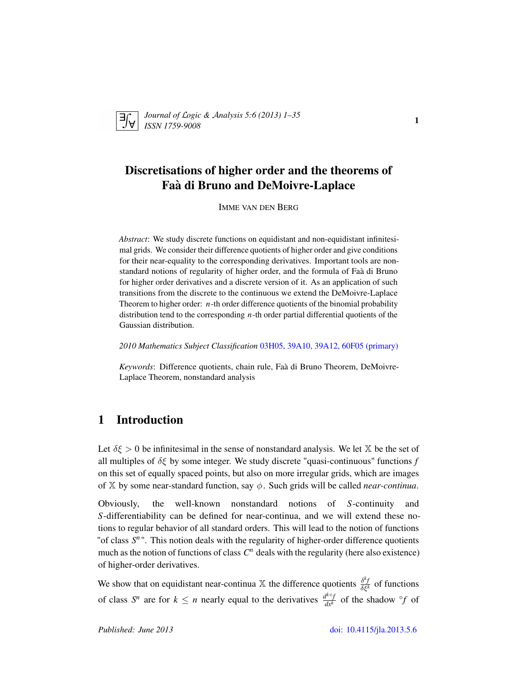

*Journal of* L*ogic &* A*nalysis 5:6 (2013) 1–35 ISSN 1759-9008* <sup>1</sup>

## Discretisations of higher order and the theorems of Faa di Bruno and DeMoivre-Laplace `

IMME VAN DEN BERG

*Abstract*: We study discrete functions on equidistant and non-equidistant infinitesimal grids. We consider their difference quotients of higher order and give conditions for their near-equality to the corresponding derivatives. Important tools are nonstandard notions of regularity of higher order, and the formula of Faa di Bruno ` for higher order derivatives and a discrete version of it. As an application of such transitions from the discrete to the continuous we extend the DeMoivre-Laplace Theorem to higher order: *n*-th order difference quotients of the binomial probability distribution tend to the corresponding *n*-th order partial differential quotients of the Gaussian distribution.

*2010 Mathematics Subject Classification* [03H05, 39A10, 39A12, 60F05 \(primary\)](http://www.ams.org/mathscinet/search/mscdoc.html?code=03H05, 39A10, 39A12, 60F05)

*Keywords*: Difference quotients, chain rule, Faa di Bruno Theorem, DeMoivre- ` Laplace Theorem, nonstandard analysis

### 1 Introduction

Let  $\delta \xi > 0$  be infinitesimal in the sense of nonstandard analysis. We let  $\mathbb{X}$  be the set of all multiples of  $\delta \xi$  by some integer. We study discrete "quasi-continuous" functions *f* on this set of equally spaced points, but also on more irregular grids, which are images of  $X$  by some near-standard function, say  $\phi$ . Such grids will be called *near-continua*.

Obviously, the well-known nonstandard notions of *S*-continuity and *S*-differentiability can be defined for near-continua, and we will extend these notions to regular behavior of all standard orders. This will lead to the notion of functions "of class  $S<sup>n</sup>$ ". This notion deals with the regularity of higher-order difference quotients much as the notion of functions of class  $C^n$  deals with the regularity (here also existence) of higher-order derivatives.

We show that on equidistant near-continua  $\mathbb{X}$  the difference quotients  $\frac{\delta^k f}{\delta \xi^k}$  of functions of class  $S^n$  are for  $k \leq n$  nearly equal to the derivatives  $\frac{d^{k \circ f}}{dx^k}$  of the shadow  $\circ f$  of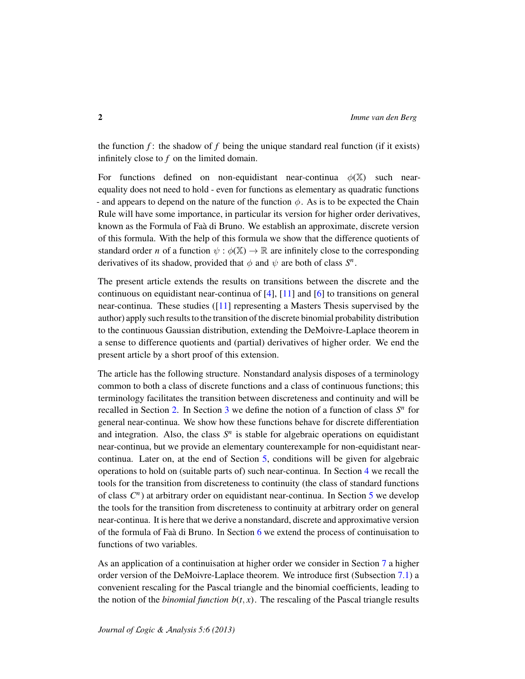the function  $f$ : the shadow of  $f$  being the unique standard real function (if it exists) infinitely close to *f* on the limited domain.

For functions defined on non-equidistant near-continua  $\phi(\mathbb{X})$  such nearequality does not need to hold - even for functions as elementary as quadratic functions - and appears to depend on the nature of the function  $\phi$ . As is to be expected the Chain Rule will have some importance, in particular its version for higher order derivatives, known as the Formula of Faa di Bruno. We establish an approximate, discrete version ` of this formula. With the help of this formula we show that the difference quotients of standard order *n* of a function  $\psi : \phi(\mathbb{X}) \to \mathbb{R}$  are infinitely close to the corresponding derivatives of its shadow, provided that  $\phi$  and  $\psi$  are both of class  $S<sup>n</sup>$ .

The present article extends the results on transitions between the discrete and the continuous on equidistant near-continua of  $[4]$ ,  $[11]$  and  $[6]$  to transitions on general near-continua. These studies ([\[11\]](#page-34-1) representing a Masters Thesis supervised by the author) apply such results to the transition of the discrete binomial probability distribution to the continuous Gaussian distribution, extending the DeMoivre-Laplace theorem in a sense to difference quotients and (partial) derivatives of higher order. We end the present article by a short proof of this extension.

The article has the following structure. Nonstandard analysis disposes of a terminology common to both a class of discrete functions and a class of continuous functions; this terminology facilitates the transition between discreteness and continuity and will be recalled in Section [2.](#page-2-0) In Section [3](#page-5-0) we define the notion of a function of class  $S<sup>n</sup>$  for general near-continua. We show how these functions behave for discrete differentiation and integration. Also, the class  $S<sup>n</sup>$  is stable for algebraic operations on equidistant near-continua, but we provide an elementary counterexample for non-equidistant nearcontinua. Later on, at the end of Section [5,](#page-12-0) conditions will be given for algebraic operations to hold on (suitable parts of) such near-continua. In Section [4](#page-10-0) we recall the tools for the transition from discreteness to continuity (the class of standard functions of class *C n* ) at arbitrary order on equidistant near-continua. In Section [5](#page-12-0) we develop the tools for the transition from discreteness to continuity at arbitrary order on general near-continua. It is here that we derive a nonstandard, discrete and approximative version of the formula of Faà di Bruno. In Section  $6$  we extend the process of continuisation to functions of two variables.

As an application of a continuisation at higher order we consider in Section [7](#page-26-0) a higher order version of the DeMoivre-Laplace theorem. We introduce first (Subsection [7.1\)](#page-27-0) a convenient rescaling for the Pascal triangle and the binomial coefficients, leading to the notion of the *binomial function*  $b(t, x)$ . The rescaling of the Pascal triangle results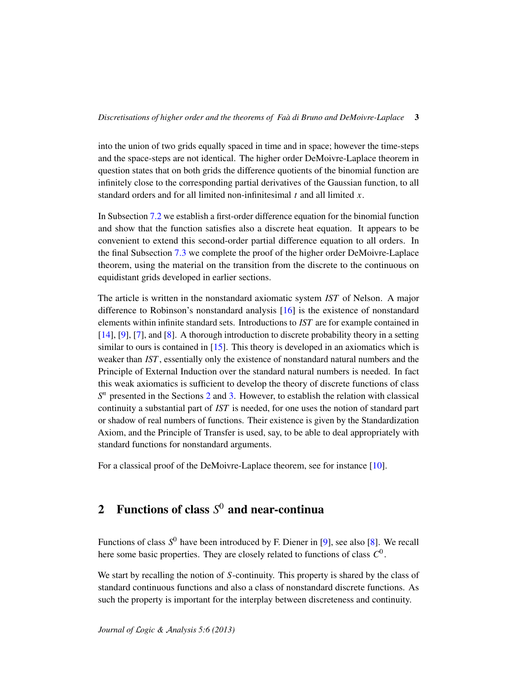into the union of two grids equally spaced in time and in space; however the time-steps and the space-steps are not identical. The higher order DeMoivre-Laplace theorem in question states that on both grids the difference quotients of the binomial function are infinitely close to the corresponding partial derivatives of the Gaussian function, to all standard orders and for all limited non-infinitesimal *t* and all limited *x*.

In Subsection [7.2](#page-30-0) we establish a first-order difference equation for the binomial function and show that the function satisfies also a discrete heat equation. It appears to be convenient to extend this second-order partial difference equation to all orders. In the final Subsection [7.3](#page-31-0) we complete the proof of the higher order DeMoivre-Laplace theorem, using the material on the transition from the discrete to the continuous on equidistant grids developed in earlier sections.

The article is written in the nonstandard axiomatic system *IST* of Nelson. A major difference to Robinson's nonstandard analysis [\[16\]](#page-34-3) is the existence of nonstandard elements within infinite standard sets. Introductions to *IST* are for example contained in [\[14\]](#page-34-4), [\[9\]](#page-34-5), [\[7\]](#page-34-6), and [\[8\]](#page-34-7). A thorough introduction to discrete probability theory in a setting similar to ours is contained in  $[15]$ . This theory is developed in an axiomatics which is weaker than *IST* , essentially only the existence of nonstandard natural numbers and the Principle of External Induction over the standard natural numbers is needed. In fact this weak axiomatics is sufficient to develop the theory of discrete functions of class *S*<sup>n</sup> presented in the Sections [2](#page-2-0) and [3.](#page-5-0) However, to establish the relation with classical continuity a substantial part of *IST* is needed, for one uses the notion of standard part or shadow of real numbers of functions. Their existence is given by the Standardization Axiom, and the Principle of Transfer is used, say, to be able to deal appropriately with standard functions for nonstandard arguments.

For a classical proof of the DeMoivre-Laplace theorem, see for instance [\[10\]](#page-34-9).

### <span id="page-2-0"></span>2 Functions of class *S* <sup>0</sup> and near-continua

Functions of class *S* <sup>0</sup> have been introduced by F. Diener in [\[9\]](#page-34-5), see also [\[8\]](#page-34-7). We recall here some basic properties. They are closely related to functions of class *C* 0 .

We start by recalling the notion of *S*-continuity. This property is shared by the class of standard continuous functions and also a class of nonstandard discrete functions. As such the property is important for the interplay between discreteness and continuity.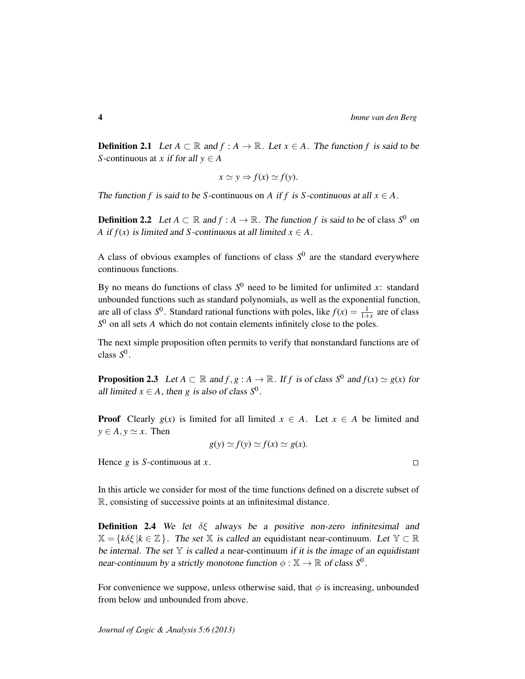**Definition 2.1** Let *A* ⊂ ℝ and *f* : *A* → ℝ. Let *x* ∈ *A*. The function *f* is said to be *S*-continuous at *x* if for all  $y \in A$ 

$$
x \simeq y \Rightarrow f(x) \simeq f(y).
$$

The function *f* is said to be *S*-continuous on *A* if *f* is *S*-continuous at all  $x \in A$ .

**Definition 2.2** Let  $A \subset \mathbb{R}$  and  $f : A \to \mathbb{R}$ . The function f is said to be of class  $S^0$  on *A* if  $f(x)$  is limited and *S*-continuous at all limited  $x \in A$ .

A class of obvious examples of functions of class  $S^0$  are the standard everywhere continuous functions.

By no means do functions of class  $S^0$  need to be limited for unlimited *x*: standard unbounded functions such as standard polynomials, as well as the exponential function, are all of class  $S^0$ . Standard rational functions with poles, like  $f(x) = \frac{1}{1+x}$  are of class *S* <sup>0</sup> on all sets *A* which do not contain elements infinitely close to the poles.

The next simple proposition often permits to verify that nonstandard functions are of class *S* 0 .

<span id="page-3-0"></span>**Proposition 2.3** Let  $A \subset \mathbb{R}$  and  $f, g : A \to \mathbb{R}$ . If  $f$  is of class  $S^0$  and  $f(x) \simeq g(x)$  for all limited  $x \in A$ , then *g* is also of class  $S^0$ .

**Proof** Clearly  $g(x)$  is limited for all limited  $x \in A$ . Let  $x \in A$  be limited and  $y \in A$ ,  $y \simeq x$ . Then

$$
g(y) \simeq f(y) \simeq f(x) \simeq g(x).
$$

Hence *g* is *S*-continuous at *x*.

In this article we consider for most of the time functions defined on a discrete subset of R, consisting of successive points at an infinitesimal distance.

**Definition 2.4** We let  $\delta \xi$  always be a positive non-zero infinitesimal and  $\mathbb{X} = \{k\delta\xi \mid k \in \mathbb{Z}\}\.$  The set X is called an equidistant near-continuum. Let  $\mathbb{Y} \subset \mathbb{R}$ be internal. The set  $Y$  is called a near-continuum if it is the image of an equidistant near-continuum by a strictly monotone function  $\phi : \mathbb{X} \to \mathbb{R}$  of class  $S^0$ .

For convenience we suppose, unless otherwise said, that  $\phi$  is increasing, unbounded from below and unbounded from above.

 $\Box$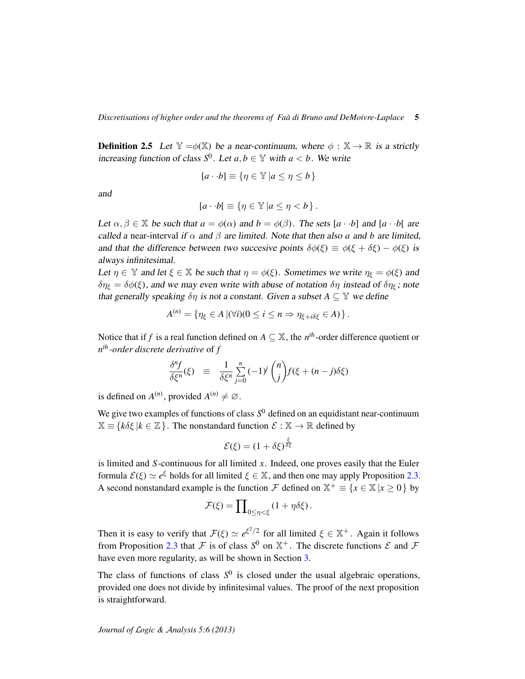**Definition 2.5** Let  $\mathbb{Y} = \phi(\mathbb{X})$  be a near-continuum, where  $\phi : \mathbb{X} \to \mathbb{R}$  is a strictly increasing function of class  $S^0$ . Let  $a, b \in \mathbb{Y}$  with  $a < b$ . We write

$$
[a \cdot b] \equiv \{ \eta \in \mathbb{Y} \mid a \le \eta \le b \}
$$

and

$$
[a \cdot b] \equiv \{ \eta \in \mathbb{Y} \mid a \leq \eta < b \}.
$$

Let  $\alpha, \beta \in \mathbb{X}$  be such that  $a = \phi(\alpha)$  and  $b = \phi(\beta)$ . The sets  $[a \cdot b]$  and  $[a \cdot b]$  are called a near-interval if  $\alpha$  and  $\beta$  are limited. Note that then also *a* and *b* are limited, and that the difference between two succesive points  $\delta\phi(\xi) \equiv \phi(\xi + \delta\xi) - \phi(\xi)$  is always infinitesimal.

Let  $\eta \in \mathbb{Y}$  and let  $\xi \in \mathbb{X}$  be such that  $\eta = \phi(\xi)$ . Sometimes we write  $\eta_{\xi} = \phi(\xi)$  and  $\delta \eta_{\xi} = \delta \phi(\xi)$ , and we may even write with abuse of notation  $\delta \eta$  instead of  $\delta \eta_{\xi}$ ; note that generally speaking  $\delta\eta$  is not a constant. Given a subset  $A \subseteq Y$  we define

$$
A^{(n)} = \{ \eta_{\xi} \in A \, |(\forall i)(0 \leq i \leq n \Rightarrow \eta_{\xi + i\delta\xi} \in A) \}.
$$

Notice that if *f* is a real function defined on  $A \subseteq \mathbb{X}$ , the *n<sup>th</sup>*-order difference quotient or *n th -order discrete derivative* of *f*

$$
\frac{\delta^n f}{\delta \xi^n}(\xi) \equiv \frac{1}{\delta \xi^n} \sum_{j=0}^n (-1)^j \binom{n}{j} f(\xi + (n-j)\delta \xi)
$$

is defined on  $A^{(n)}$ , provided  $A^{(n)} \neq \emptyset$ .

We give two examples of functions of class  $S^0$  defined on an equidistant near-continuum  $\mathbb{X} \equiv \{k\delta\xi \mid k \in \mathbb{Z}\}\.$  The nonstandard function  $\mathcal{E} : \mathbb{X} \to \mathbb{R}$  defined by

$$
\mathcal{E}(\xi) = (1 + \delta \xi)^{\frac{\xi}{\delta \xi}}
$$

is limited and *S*-continuous for all limited *x*. Indeed, one proves easily that the Euler formula  $\mathcal{E}(\xi) \simeq e^{\xi}$  holds for all limited  $\xi \in \mathbb{X}$ , and then one may apply Proposition [2.3.](#page-3-0) A second nonstandard example is the function  $\mathcal F$  defined on  $\mathbb X^+ \equiv \{x \in \mathbb X \mid x \geq 0\}$  by

$$
\mathcal{F}(\xi) = \prod_{0 \le \eta < \xi} (1 + \eta \delta \xi).
$$

Then it is easy to verify that  $\mathcal{F}(\xi) \simeq e^{\xi^2/2}$  for all limited  $\xi \in \mathbb{X}^+$ . Again it follows from Proposition [2.3](#page-3-0) that F is of class  $S^0$  on  $\mathbb{X}^+$ . The discrete functions  $\mathcal E$  and F have even more regularity, as will be shown in Section [3.](#page-5-0)

The class of functions of class  $S^0$  is closed under the usual algebraic operations, provided one does not divide by infinitesimal values. The proof of the next proposition is straightforward.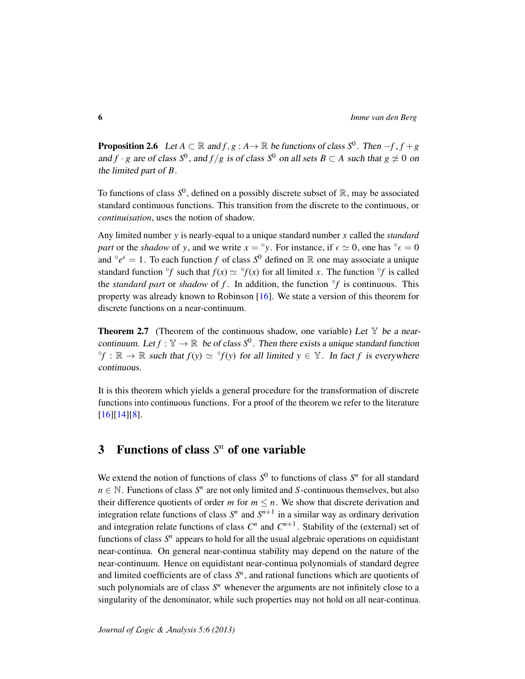<span id="page-5-1"></span>**Proposition 2.6** Let  $A \subset \mathbb{R}$  and  $f, g : A \to \mathbb{R}$  be functions of class  $S^0$ . Then  $-f, f + g$ and *f* · *g* are of class  $S^0$ , and  $f/g$  is of class  $S^0$  on all sets  $B \subset A$  such that  $g \not\simeq 0$  on the limited part of *B*.

To functions of class  $S^0$ , defined on a possibly discrete subset of  $\mathbb R$ , may be associated standard continuous functions. This transition from the discrete to the continuous, or *continuisation*, uses the notion of shadow.

Any limited number *y* is nearly-equal to a unique standard number *x* called the *standard part* or the *shadow* of *y*, and we write  $x = \degree y$ . For instance, if  $\epsilon \approx 0$ , one has  $\degree \epsilon = 0$ and  $^{\circ}e^{\epsilon} = 1$ . To each function *f* of class  $S^0$  defined on R one may associate a unique standard function  $\partial f$  such that  $f(x) \simeq \partial f(x)$  for all limited *x*. The function  $\partial f$  is called the *standard part* or *shadow* of  $f$ . In addition, the function  $\partial f$  is continuous. This property was already known to Robinson [\[16\]](#page-34-3). We state a version of this theorem for discrete functions on a near-continuum.

**Theorem 2.7** (Theorem of the continuous shadow, one variable) Let  $\mathbb{Y}$  be a nearcontinuum. Let  $f : \mathbb{Y} \to \mathbb{R}$  be of class  $S^0$ . Then there exists a unique standard function  ${}^{\circ}f : \mathbb{R} \to \mathbb{R}$  such that  $f(y) \simeq {}^{\circ}f(y)$  for all limited  $y \in \mathbb{Y}$ . In fact f is everywhere continuous.

It is this theorem which yields a general procedure for the transformation of discrete functions into continuous functions. For a proof of the theorem we refer to the literature [\[16\]](#page-34-3)[\[14\]](#page-34-4)[\[8\]](#page-34-7).

## <span id="page-5-0"></span>3 Functions of class *S <sup>n</sup>* of one variable

We extend the notion of functions of class  $S^0$  to functions of class  $S^n$  for all standard  $n \in \mathbb{N}$ . Functions of class  $S^n$  are not only limited and *S*-continuous themselves, but also their difference quotients of order *m* for  $m \leq n$ . We show that discrete derivation and integration relate functions of class  $S<sup>n</sup>$  and  $S<sup>n+1</sup>$  in a similar way as ordinary derivation and integration relate functions of class  $C^n$  and  $C^{n+1}$ . Stability of the (external) set of functions of class  $S<sup>n</sup>$  appears to hold for all the usual algebraic operations on equidistant near-continua. On general near-continua stability may depend on the nature of the near-continuum. Hence on equidistant near-continua polynomials of standard degree and limited coefficients are of class  $S<sup>n</sup>$ , and rational functions which are quotients of such polynomials are of class *S <sup>n</sup>* whenever the arguments are not infinitely close to a singularity of the denominator, while such properties may not hold on all near-continua.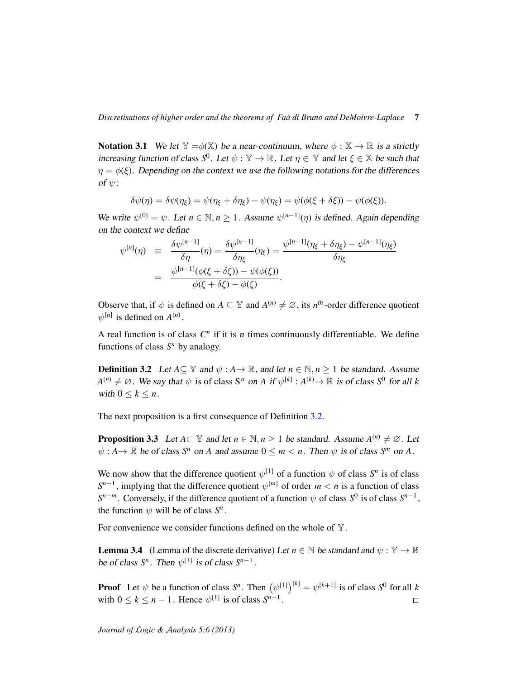**Notation 3.1** We let  $\mathbb{Y} = \phi(\mathbb{X})$  be a near-continuum, where  $\phi : \mathbb{X} \to \mathbb{R}$  is a strictly increasing function of class  $S^0$ . Let  $\psi : \mathbb{Y} \to \mathbb{R}$ . Let  $\eta \in \mathbb{Y}$  and let  $\xi \in \mathbb{X}$  be such that  $\eta = \phi(\xi)$ . Depending on the context we use the following notations for the differences of  $\psi$ :

$$
\delta\psi(\eta) = \delta\psi(\eta_{\xi}) = \psi(\eta_{\xi} + \delta\eta_{\xi}) - \psi(\eta_{\xi}) = \psi(\phi(\xi + \delta\xi)) - \psi(\phi(\xi)).
$$

We write  $\psi^{[0]} = \psi$ . Let  $n \in \mathbb{N}, n \ge 1$ . Assume  $\psi^{[n-1]}(\eta)$  is defined. Again depending on the context we define

$$
\psi^{[n]}(\eta) \equiv \frac{\delta \psi^{[n-1]}}{\delta \eta}(\eta) = \frac{\delta \psi^{[n-1]}}{\delta \eta_{\xi}}(\eta_{\xi}) = \frac{\psi^{[n-1]}(\eta_{\xi} + \delta \eta_{\xi}) - \psi^{[n-1]}(\eta_{\xi})}{\delta \eta_{\xi}}
$$

$$
= \frac{\psi^{[n-1]}(\phi(\xi + \delta \xi)) - \psi(\phi(\xi))}{\phi(\xi + \delta \xi) - \phi(\xi)}.
$$

Observe that, if  $\psi$  is defined on  $A \subseteq \mathbb{Y}$  and  $A^{(n)} \neq \emptyset$ , its  $n^{th}$ -order difference quotient  $\psi^{[n]}$  is defined on  $A^{(n)}$ .

A real function is of class  $C<sup>n</sup>$  if it is *n* times continuously differentiable. We define functions of class  $S<sup>n</sup>$  by analogy.

<span id="page-6-0"></span>**Definition 3.2** Let  $A \subseteq \mathbb{Y}$  and  $\psi : A \rightarrow \mathbb{R}$ , and let  $n \in \mathbb{N}$ ,  $n > 1$  be standard. Assume  $A^{(n)} \neq \emptyset$ . We say that  $\psi$  is of class S<sup>n</sup> on *A* if  $\psi^{[k]} : A^{(k)} \to \mathbb{R}$  is of class S<sup>0</sup> for all *k* with  $0 \leq k \leq n$ .

The next proposition is a first consequence of Definition [3.2.](#page-6-0)

<span id="page-6-1"></span>**Proposition 3.3** Let  $A \subset \mathbb{Y}$  and let  $n \in \mathbb{N}, n \ge 1$  be standard. Assume  $A^{(n)} \ne \emptyset$ . Let  $\psi: A \to \mathbb{R}$  be of class  $S^n$  on *A* and assume  $0 \le m < n$ . Then  $\psi$  is of class  $S^m$  on *A*.

We now show that the difference quotient  $\psi^{[1]}$  of a function  $\psi$  of class  $S^n$  is of class  $S^{n-1}$ , implying that the difference quotient  $\psi^{[m]}$  of order  $m < n$  is a function of class  $S^{n-m}$ . Conversely, if the difference quotient of a function  $\psi$  of class  $S^0$  is of class  $S^{n-1}$ , the function  $\psi$  will be of class  $S^n$ .

For convenience we consider functions defined on the whole of  $\mathbb{Y}$ .

**Lemma 3.4** (Lemma of the discrete derivative) Let  $n \in \mathbb{N}$  be standard and  $\psi : \mathbb{Y} \to \mathbb{R}$ be of class  $S^n$ . Then  $\psi^{[1]}$  is of class  $S^{n-1}$ .

**Proof** Let  $\psi$  be a function of class  $S^n$ . Then  $(\psi^{[1]})^{[k]} = \psi^{[k+1]}$  is of class  $S^0$  for all k with  $0 \le k \le n - 1$ . Hence  $\psi^{[1]}$  is of class  $S^{n-1}$ .  $\Box$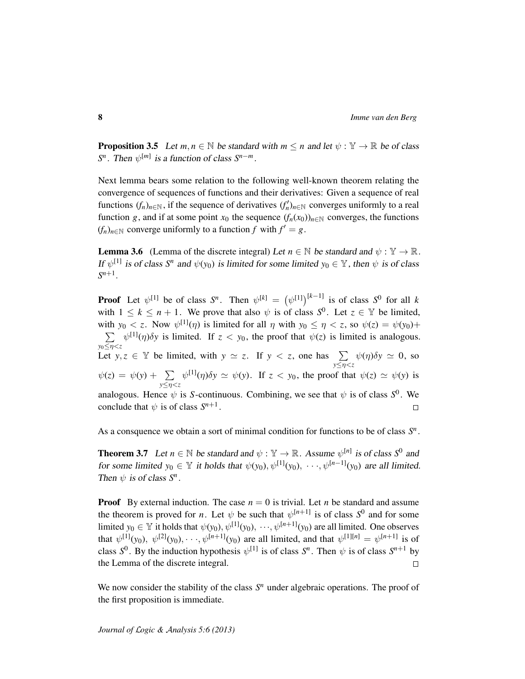<span id="page-7-0"></span>**Proposition 3.5** Let  $m, n \in \mathbb{N}$  be standard with  $m \leq n$  and let  $\psi : \mathbb{Y} \to \mathbb{R}$  be of class *S*<sup>*n*</sup>. Then  $\psi^{[m]}$  is a function of class *S*<sup>*n*−*m*</sup>.

Next lemma bears some relation to the following well-known theorem relating the convergence of sequences of functions and their derivatives: Given a sequence of real functions  $(f_n)_{n \in \mathbb{N}}$ , if the sequence of derivatives  $(f'_n)_{n \in \mathbb{N}}$  converges uniformly to a real function *g*, and if at some point  $x_0$  the sequence  $(f_n(x_0))_{n \in \mathbb{N}}$  converges, the functions  $(f_n)_{n \in \mathbb{N}}$  converge uniformly to a function  $f$  with  $f' = g$ .

**Lemma 3.6** (Lemma of the discrete integral) Let  $n \in \mathbb{N}$  be standard and  $\psi : \mathbb{Y} \to \mathbb{R}$ . If  $\psi^{[1]}$  is of class  $S^n$  and  $\psi(y_0)$  is limited for some limited  $y_0 \in \mathbb{Y}$ , then  $\psi$  is of class  $S^{n+1}$ .

**Proof** Let  $\psi^{[1]}$  be of class  $S^n$ . Then  $\psi^{[k]} = (\psi^{[1]})^{[k-1]}$  is of class  $S^0$  for all k with  $1 \leq k \leq n+1$ . We prove that also  $\psi$  is of class  $S^0$ . Let  $z \in \mathbb{Y}$  be limited, with  $y_0 < z$ . Now  $\psi^{[1]}(\eta)$  is limited for all  $\eta$  with  $y_0 \leq \eta < z$ , so  $\psi(z) = \psi(y_0) + \psi(z)$  $\sum \psi^{[1]}(\eta)\delta y$  is limited. If  $z < y_0$ , the proof that  $\psi(z)$  is limited is analogous.  $y_0 \le \eta \lt z$ <br>
Let  $y, z \in \mathbb{Y}$  be limited, with  $y \approx z$ . If  $y \lt z$ , one has  $\sum$  $\psi(\eta)\delta y \simeq 0$ , so *y*≤η<*z*  $\psi^{[1]}(\eta)\delta y \simeq \psi(y)$ . If  $z < y_0$ , the proof that  $\psi(z) \simeq \psi(y)$  is  $\psi(z) = \psi(y) + \sum$ *y*≤η<*z* analogous. Hence  $\psi$  is *S*-continuous. Combining, we see that  $\psi$  is of class  $S^0$ . We conclude that  $\psi$  is of class  $S^{n+1}$ .  $\Box$ 

As a consquence we obtain a sort of minimal condition for functions to be of class *S n* .

**Theorem 3.7** Let  $n \in \mathbb{N}$  be standard and  $\psi : \mathbb{Y} \to \mathbb{R}$ . Assume  $\psi^{[n]}$  is of class  $S^0$  and for some limited  $y_0 \in Y$  it holds that  $\psi(y_0), \psi^{[1]}(y_0), \cdots, \psi^{[n-1]}(y_0)$  are all limited. Then  $\psi$  is of class  $S^n$ .

**Proof** By external induction. The case  $n = 0$  is trivial. Let *n* be standard and assume the theorem is proved for *n*. Let  $\psi$  be such that  $\psi^{[n+1]}$  is of class  $S^0$  and for some limited  $y_0 \in \mathbb{Y}$  it holds that  $\psi(y_0), \psi^{[1]}(y_0), \dots, \psi^{[n+1]}(y_0)$  are all limited. One observes that  $\psi^{[1]}(y_0), \ \psi^{[2]}(y_0), \cdots, \psi^{[n+1]}(y_0)$  are all limited, and that  $\psi^{[1][n]} = \psi^{[n+1]}$  is of class  $S^0$ . By the induction hypothesis  $\psi^{[1]}$  is of class  $S^n$ . Then  $\psi$  is of class  $S^{n+1}$  by the Lemma of the discrete integral.  $\Box$ 

We now consider the stability of the class  $S<sup>n</sup>$  under algebraic operations. The proof of the first proposition is immediate.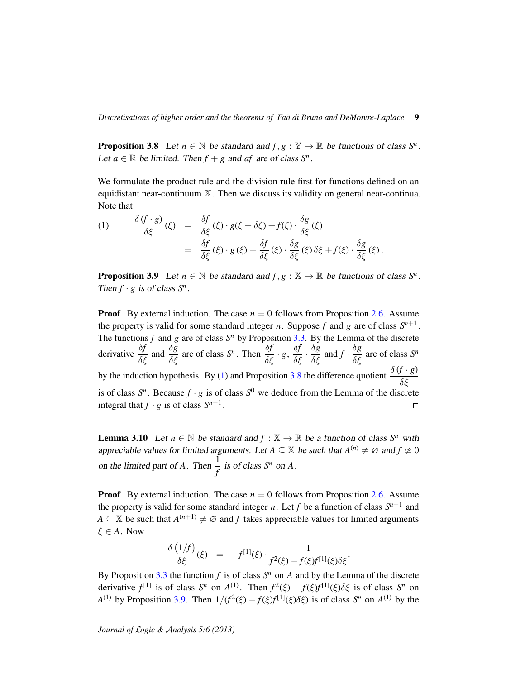<span id="page-8-1"></span>**Proposition 3.8** Let  $n \in \mathbb{N}$  be standard and  $f, g : \mathbb{Y} \to \mathbb{R}$  be functions of class  $S^n$ . Let  $a \in \mathbb{R}$  be limited. Then  $f + g$  and  $af$  are of class  $S^n$ .

We formulate the product rule and the division rule first for functions defined on an equidistant near-continuum X. Then we discuss its validity on general near-continua. Note that

<span id="page-8-0"></span>(1) 
$$
\frac{\delta (f \cdot g)}{\delta \xi}(\xi) = \frac{\delta f}{\delta \xi}(\xi) \cdot g(\xi + \delta \xi) + f(\xi) \cdot \frac{\delta g}{\delta \xi}(\xi)
$$

$$
= \frac{\delta f}{\delta \xi}(\xi) \cdot g(\xi) + \frac{\delta f}{\delta \xi}(\xi) \cdot \frac{\delta g}{\delta \xi}(\xi) \delta \xi + f(\xi) \cdot \frac{\delta g}{\delta \xi}(\xi).
$$

<span id="page-8-2"></span>**Proposition 3.9** Let  $n \in \mathbb{N}$  be standard and  $f, g : \mathbb{X} \to \mathbb{R}$  be functions of class  $S^n$ . Then  $f \cdot g$  is of class  $S^n$ .

**Proof** By external induction. The case  $n = 0$  follows from Proposition [2.6.](#page-5-1) Assume the property is valid for some standard integer *n*. Suppose *f* and *g* are of class  $S^{n+1}$ . The functions  $f$  and  $g$  are of class  $S<sup>n</sup>$  by Proposition [3.3.](#page-6-1) By the Lemma of the discrete derivative  $\frac{\delta f}{\delta \xi}$  and  $\frac{\delta g}{\delta \xi}$  are of class *S<sup>n</sup>*. Then  $\frac{\delta f}{\delta \xi} \cdot g$ ,  $\frac{\delta f}{\delta \xi} \cdot \frac{\delta g}{\delta \xi}$  and  $f \cdot \frac{\delta g}{\delta \xi}$  are of class *S<sup>n</sup>* by the induction hypothesis. By [\(1\)](#page-8-0) and Proposition [3.8](#page-8-1) the difference quotient  $\frac{\delta (f \cdot g)}{\delta \xi}$ is of class  $S^n$ . Because  $f \cdot g$  is of class  $S^0$  we deduce from the Lemma of the discrete integral that  $f \cdot g$  is of class  $S^{n+1}$ .  $\Box$ 

**Lemma 3.10** Let  $n \in \mathbb{N}$  be standard and  $f : \mathbb{X} \to \mathbb{R}$  be a function of class  $S^n$  with appreciable values for limited arguments. Let  $A \subseteq \mathbb{X}$  be such that  $A^{(n)} \neq \emptyset$  and  $f \neq 0$ on the limited part of *A*. Then  $\frac{1}{f}$  is of class  $S^n$  on *A*.

**Proof** By external induction. The case  $n = 0$  follows from Proposition [2.6.](#page-5-1) Assume the property is valid for some standard integer *n*. Let *f* be a function of class  $S^{n+1}$  and *A*  $\subseteq$   $\mathbb{X}$  be such that  $A^{(n+1)} \neq \emptyset$  and *f* takes appreciable values for limited arguments  $\xi \in A$ . Now

$$
\frac{\delta (1/f)}{\delta \xi}(\xi) = -f^{[1]}(\xi) \cdot \frac{1}{f^2(\xi) - f(\xi)f^{[1]}(\xi)\delta \xi}.
$$

By Proposition [3.3](#page-6-1) the function  $f$  is of class  $S<sup>n</sup>$  on  $A$  and by the Lemma of the discrete derivative  $f^{[1]}$  is of class  $S^n$  on  $A^{(1)}$ . Then  $f^2(\xi) - f(\xi)f^{[1]}(\xi)\delta\xi$  is of class  $S^n$  on *A*<sup>(1)</sup> by Proposition [3.9.](#page-8-2) Then  $1/(f^2(\xi) - f(\xi)f^{[1]}(\xi)\delta\xi)$  is of class  $S^n$  on  $A^{(1)}$  by the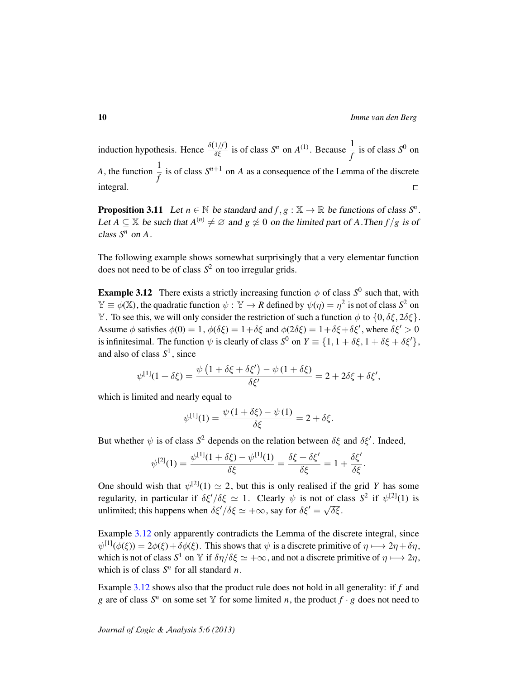induction hypothesis. Hence  $\frac{\delta(1/f)}{\delta \xi}$  is of class *S<sup>n</sup>* on *A*<sup>(1)</sup>. Because  $\frac{1}{f}$  $\frac{1}{f}$  is of class  $S^0$  on *A*, the function  $\frac{1}{f}$  is of class  $S^{n+1}$  on *A* as a consequence of the Lemma of the discrete integral.  $\Box$ 

<span id="page-9-1"></span>**Proposition 3.11** Let  $n \in \mathbb{N}$  be standard and  $f, g: \mathbb{X} \to \mathbb{R}$  be functions of class  $S^n$ . Let  $A \subseteq \mathbb{X}$  be such that  $A^{(n)} \neq \emptyset$  and  $g \neq 0$  on the limited part of A.Then  $f/g$  is of class  $S^n$  on  $A$ .

The following example shows somewhat surprisingly that a very elementar function does not need to be of class *S* <sup>2</sup> on too irregular grids.

<span id="page-9-0"></span>**Example 3.12** There exists a strictly increasing function  $\phi$  of class  $S^0$  such that, with  $\mathbb{Y} \equiv \phi(\mathbb{X})$ , the quadratic function  $\psi : \mathbb{Y} \to R$  defined by  $\psi(\eta) = \eta^2$  is not of class  $S^2$  on Y. To see this, we will only consider the restriction of such a function  $\phi$  to  $\{0, \delta \xi, 2\delta \xi\}$ . Assume  $\phi$  satisfies  $\phi(0) = 1$ ,  $\phi(\delta \xi) = 1 + \delta \xi$  and  $\phi(2\delta \xi) = 1 + \delta \xi + \delta \xi'$ , where  $\delta \xi' > 0$ is infinitesimal. The function  $\psi$  is clearly of class  $S^0$  on  $Y \equiv \{1, 1 + \delta \xi, 1 + \delta \xi + \delta \xi'\},$ and also of class *S* 1 , since

$$
\psi^{[1]}(1+\delta\xi) = \frac{\psi\left(1+\delta\xi+\delta\xi'\right) - \psi\left(1+\delta\xi\right)}{\delta\xi'} = 2 + 2\delta\xi + \delta\xi',
$$

which is limited and nearly equal to

$$
\psi^{[1]}(1) = \frac{\psi(1 + \delta \xi) - \psi(1)}{\delta \xi} = 2 + \delta \xi.
$$

But whether  $\psi$  is of class  $S^2$  depends on the relation between  $\delta \xi$  and  $\delta \xi'$ . Indeed,

$$
\psi^{[2]}(1) = \frac{\psi^{[1]}(1 + \delta \xi) - \psi^{[1]}(1)}{\delta \xi} = \frac{\delta \xi + \delta \xi'}{\delta \xi} = 1 + \frac{\delta \xi'}{\delta \xi}.
$$

One should wish that  $\psi^{[2]}(1) \simeq 2$ , but this is only realised if the grid *Y* has some regularity, in particular if  $\delta \xi'/\delta \xi \simeq 1$ . Clearly  $\psi$  is not of class  $S^2$  if  $\psi^{[2]}(1)$  is unlimited; this happens when  $\delta \xi'/\delta \xi \simeq +\infty$ , say for  $\delta \xi' = \sqrt{\xi}$ δξ .

Example [3.12](#page-9-0) only apparently contradicts the Lemma of the discrete integral, since  $\psi^{[1]}(\phi(\xi)) = 2\phi(\xi) + \delta\phi(\xi)$ . This shows that  $\psi$  is a discrete primitive of  $\eta \mapsto 2\eta + \delta\eta$ , which is not of class  $S^1$  on  $\mathbb Y$  if  $\delta\eta/\delta\xi \simeq +\infty$ , and not a discrete primitive of  $\eta \mapsto 2\eta$ , which is of class  $S<sup>n</sup>$  for all standard *n*.

Example [3.12](#page-9-0) shows also that the product rule does not hold in all generality: if *f* and *g* are of class  $S^n$  on some set Y for some limited *n*, the product  $f \cdot g$  does not need to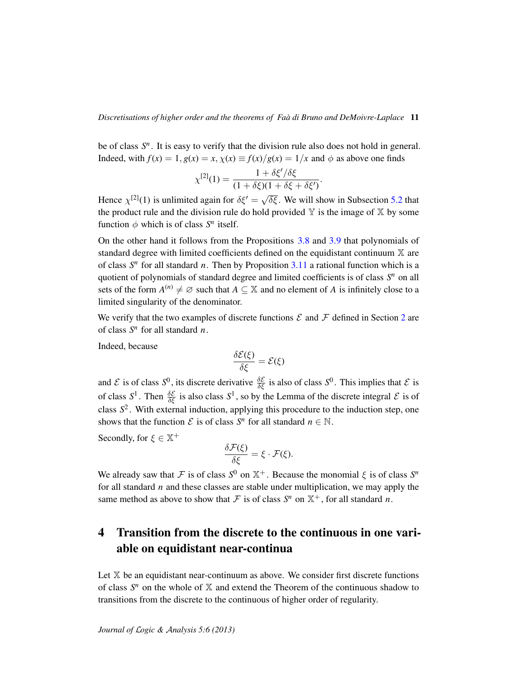be of class  $S<sup>n</sup>$ . It is easy to verify that the division rule also does not hold in general. Indeed, with  $f(x) = 1$ ,  $g(x) = x$ ,  $\chi(x) \equiv f(x)/g(x) = 1/x$  and  $\phi$  as above one finds

$$
\chi^{[2]}(1) = \frac{1 + \delta \xi'/\delta \xi}{(1 + \delta \xi)(1 + \delta \xi + \delta \xi')}.
$$

Hence  $\chi^{[2]}(1)$  is unlimited again for  $\delta \xi' = \sqrt{ }$  $\overline{\delta \xi}$ . We will show in Subsection [5.2](#page-21-0) that the product rule and the division rule do hold provided  $\mathbb Y$  is the image of  $\mathbb X$  by some function  $\phi$  which is of class  $S^n$  itself.

On the other hand it follows from the Propositions [3.8](#page-8-1) and [3.9](#page-8-2) that polynomials of standard degree with limited coefficients defined on the equidistant continuum X are of class  $S<sup>n</sup>$  for all standard *n*. Then by Proposition [3.11](#page-9-1) a rational function which is a quotient of polynomials of standard degree and limited coefficients is of class  $S<sup>n</sup>$  on all sets of the form  $A^{(n)} \neq \emptyset$  such that  $A \subseteq \mathbb{X}$  and no element of *A* is infinitely close to a limited singularity of the denominator.

We verify that the two examples of discrete functions  $\mathcal E$  and  $\mathcal F$  defined in Section [2](#page-2-0) are of class *S n* for all standard *n*.

Indeed, because

$$
\frac{\delta \mathcal{E}(\xi)}{\delta \xi} = \mathcal{E}(\xi)
$$

and  $\mathcal E$  is of class  $S^0$ , its discrete derivative  $\frac{\delta \mathcal E}{\delta \xi}$  is also of class  $S^0$ . This implies that  $\mathcal E$  is of class  $S^1$ . Then  $\frac{\delta \mathcal{E}}{\delta \xi}$  is also class  $S^1$ , so by the Lemma of the discrete integral  $\mathcal{E}$  is of class *S* 2 . With external induction, applying this procedure to the induction step, one shows that the function  $\mathcal{E}$  is of class  $S^n$  for all standard  $n \in \mathbb{N}$ .

Secondly, for  $\xi \in \mathbb{X}^+$ 

$$
\frac{\delta \mathcal{F}(\xi)}{\delta \xi} = \xi \cdot \mathcal{F}(\xi).
$$

We already saw that F is of class  $S^0$  on  $\mathbb{X}^+$ . Because the monomial  $\xi$  is of class  $S^n$ for all standard *n* and these classes are stable under multiplication, we may apply the same method as above to show that  $\mathcal F$  is of class  $S^n$  on  $\mathbb X^+$ , for all standard *n*.

# <span id="page-10-0"></span>4 Transition from the discrete to the continuous in one variable on equidistant near-continua

Let  $X$  be an equidistant near-continuum as above. We consider first discrete functions of class  $S<sup>n</sup>$  on the whole of  $X$  and extend the Theorem of the continuous shadow to transitions from the discrete to the continuous of higher order of regularity.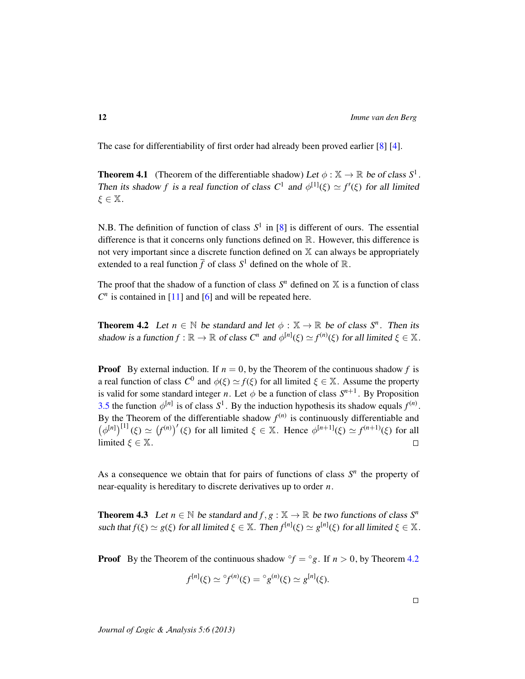The case for differentiability of first order had already been proved earlier [\[8\]](#page-34-7) [\[4\]](#page-34-0).

**Theorem 4.1** (Theorem of the differentiable shadow) Let  $\phi : \mathbb{X} \to \mathbb{R}$  be of class  $S^1$ . Then its shadow *f* is a real function of class  $C^1$  and  $\phi^{[1]}(\xi) \simeq f'(\xi)$  for all limited  $\xi \in \mathbb{X}$ .

N.B. The definition of function of class  $S^1$  in  $[8]$  is different of ours. The essential difference is that it concerns only functions defined on R. However, this difference is not very important since a discrete function defined on  $X$  can always be appropriately extended to a real function  $\bar{f}$  of class  $S^1$  defined on the whole of  $\mathbb{R}$ .

The proof that the shadow of a function of class  $S<sup>n</sup>$  defined on  $X$  is a function of class  $C<sup>n</sup>$  is contained in [\[11\]](#page-34-1) and [\[6\]](#page-34-2) and will be repeated here.

<span id="page-11-0"></span>**Theorem 4.2** Let  $n \in \mathbb{N}$  be standard and let  $\phi : \mathbb{X} \to \mathbb{R}$  be of class  $S^n$ . Then its shadow is a function  $f : \mathbb{R} \to \mathbb{R}$  of class  $C^n$  and  $\phi^{[n]}(\xi) \simeq f^{(n)}(\xi)$  for all limited  $\xi \in \mathbb{X}$ .

**Proof** By external induction. If  $n = 0$ , by the Theorem of the continuous shadow f is a real function of class  $C^0$  and  $\phi(\xi) \simeq f(\xi)$  for all limited  $\xi \in \mathbb{X}$ . Assume the property is valid for some standard integer *n*. Let  $\phi$  be a function of class  $S^{n+1}$ . By Proposition [3.5](#page-7-0) the function  $\phi^{[n]}$  is of class  $S^1$ . By the induction hypothesis its shadow equals  $f^{(n)}$ . By the Theorem of the differentiable shadow  $f^{(n)}$  is continuously differentiable and  $(\phi^{[n]})^{[1]}(\xi) \simeq (f^{(n)})'(\xi)$  for all limited  $\xi \in \mathbb{X}$ . Hence  $\phi^{[n+1]}(\xi) \simeq f^{(n+1)}(\xi)$  for all limited  $\xi \in \mathbb{X}$ .  $\Box$ 

As a consequence we obtain that for pairs of functions of class  $S<sup>n</sup>$  the property of near-equality is hereditary to discrete derivatives up to order *n*.

**Theorem 4.3** Let  $n \in \mathbb{N}$  be standard and  $f, g: \mathbb{X} \to \mathbb{R}$  be two functions of class  $S^n$ such that  $f(\xi) \simeq g(\xi)$  for all limited  $\xi \in \mathbb{X}$ . Then  $f^{[n]}(\xi) \simeq g^{[n]}(\xi)$  for all limited  $\xi \in \mathbb{X}$ .

**Proof** By the Theorem of the continuous shadow  ${}^{\circ}f = {}^{\circ}g$ . If  $n > 0$ , by Theorem [4.2](#page-11-0)

$$
f^{[n]}(\xi) \simeq {}^{\circ}f^{(n)}(\xi) = {}^{\circ}g^{(n)}(\xi) \simeq g^{[n]}(\xi).
$$

*Journal of* L*ogic &* A*nalysis 5:6 (2013)*

 $\Box$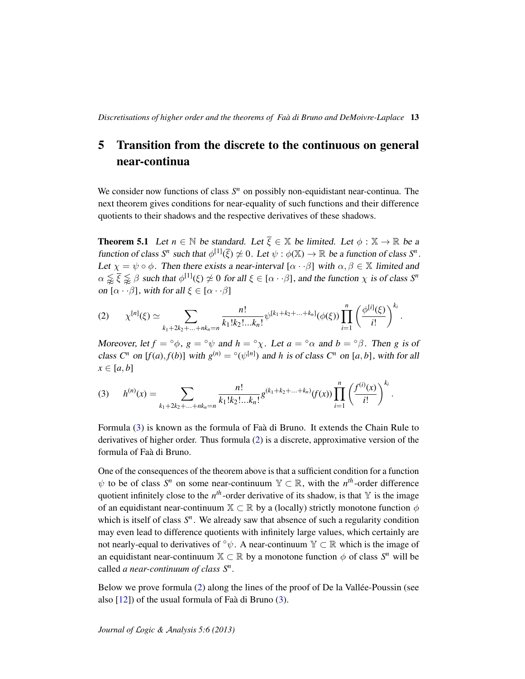## <span id="page-12-0"></span>5 Transition from the discrete to the continuous on general near-continua

We consider now functions of class  $S<sup>n</sup>$  on possibly non-equidistant near-continua. The next theorem gives conditions for near-equality of such functions and their difference quotients to their shadows and the respective derivatives of these shadows.

<span id="page-12-3"></span>**Theorem 5.1** Let  $n \in \mathbb{N}$  be standard. Let  $\overline{\xi} \in \mathbb{X}$  be limited. Let  $\phi : \mathbb{X} \to \mathbb{R}$  be a function of class  $S^n$  such that  $\phi^{[1]}(\overline{\xi}) \not\simeq 0$ . Let  $\psi : \phi(\mathbb{X}) \to \mathbb{R}$  be a function of class  $S^n$ . Let  $\chi = \psi \circ \phi$ . Then there exists a near-interval  $[\alpha \cdot \beta]$  with  $\alpha, \beta \in \mathbb{X}$  limited and  $\alpha \lessapprox \bar{\xi} \lessapprox \beta$  such that  $\phi^{[1]}(\xi) \not\simeq 0$  for all  $\xi \in [\alpha \cdot \cdot \beta]$ , and the function  $\chi$  is of class  $S^n$ on  $[\alpha \cdot \beta]$ , with for all  $\xi \in [\alpha \cdot \beta]$ 

<span id="page-12-2"></span>
$$
(2) \qquad \chi^{[n]}(\xi) \simeq \sum_{k_1+2k_2+\ldots+nk_n=n} \frac{n!}{k_1!k_2!\ldots k_n!} \psi^{[k_1+k_2+\ldots+k_n]}(\phi(\xi)) \prod_{i=1}^n \left(\frac{\phi^{[i]}(\xi)}{i!}\right)^{k_i}.
$$

Moreover, let  $f = \circ \phi$ ,  $g = \circ \psi$  and  $h = \circ \chi$ . Let  $a = \circ \alpha$  and  $b = \circ \beta$ . Then g is of class  $C^n$  on  $[f(a), f(b)]$  with  $g^{(n)} = \sqrt[\circ]{\psi^{[n]}}$  and *h* is of class  $C^n$  on  $[a, b]$ , with for all  $x \in [a, b]$ 

<span id="page-12-1"></span>
$$
(3) \qquad h^{(n)}(x) = \sum_{k_1+2k_2+\ldots+nk_n=n} \frac{n!}{k_1!k_2!\ldots k_n!} g^{(k_1+k_2+\ldots+k_n)}(f(x)) \prod_{i=1}^n \left(\frac{f^{(i)}(x)}{i!}\right)^{k_i}.
$$

Formula [\(3\)](#page-12-1) is known as the formula of Faa di Bruno. It extends the Chain Rule to ` derivatives of higher order. Thus formula [\(2\)](#page-12-2) is a discrete, approximative version of the formula of Faa di Bruno. `

One of the consequences of the theorem above is that a sufficient condition for a function  $\psi$  to be of class  $S^n$  on some near-continuum  $\mathbb{Y} \subset \mathbb{R}$ , with the *n*<sup>th</sup>-order difference quotient infinitely close to the  $n<sup>th</sup>$ -order derivative of its shadow, is that  $Y$  is the image of an equidistant near-continuum  $\mathbb{X} \subset \mathbb{R}$  by a (locally) strictly monotone function  $\phi$ which is itself of class  $S<sup>n</sup>$ . We already saw that absence of such a regularity condition may even lead to difference quotients with infinitely large values, which certainly are not nearly-equal to derivatives of  $\circ \psi$ . A near-continuum  $\mathbb{Y} \subset \mathbb{R}$  which is the image of an equidistant near-continuum  $\mathbb{X} \subset \mathbb{R}$  by a monotone function  $\phi$  of class  $S<sup>n</sup>$  will be called *a near-continuum of class S<sup>n</sup> .*

Below we prove formula  $(2)$  along the lines of the proof of De la Vallée-Poussin (see also  $[12]$ ) of the usual formula of Faà di Bruno  $(3)$  $(3)$ .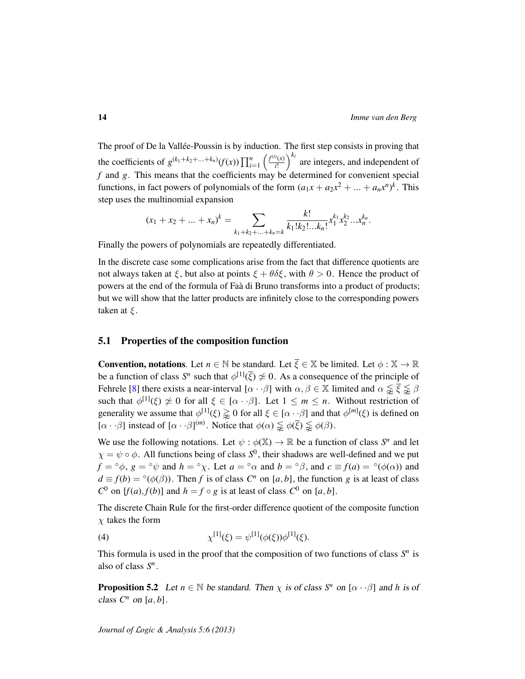The proof of De la Vallée-Poussin is by induction. The first step consists in proving that the coefficients of  $g^{(k_1+k_2+\ldots+k_n)}(f(x)) \prod_{i=1}^n \left( \frac{f^{(i)}(x)}{i!} \right)$  $\binom{D(x)}{i!}$ <sup>k<sub>*i*</sub></sup> are integers, and independent of *f* and *g*. This means that the coefficients may be determined for convenient special functions, in fact powers of polynomials of the form  $(a_1x + a_2x^2 + ... + a_nx^n)^k$ . This step uses the multinomial expansion

$$
(x_1 + x_2 + \dots + x_n)^k = \sum_{k_1 + k_2 + \dots + k_n = k} \frac{k!}{k_1! k_2! \dots k_n!} x_1^{k_1} x_2^{k_2} \dots x_n^{k_n}.
$$

Finally the powers of polynomials are repeatedly differentiated.

In the discrete case some complications arise from the fact that difference quotients are not always taken at ξ, but also at points  $\xi + \theta \delta \xi$ , with  $\theta > 0$ . Hence the product of powers at the end of the formula of Faà di Bruno transforms into a product of products; but we will show that the latter products are infinitely close to the corresponding powers taken at  $\xi$ .

#### <span id="page-13-2"></span>5.1 Properties of the composition function

**Convention, notations**. Let  $n \in \mathbb{N}$  be standard. Let  $\overline{\xi} \in \mathbb{X}$  be limited. Let  $\phi : \mathbb{X} \to \mathbb{R}$ be a function of class  $S^n$  such that  $\phi^{[1]}(\overline{\xi}) \not\simeq 0$ . As a consequence of the principle of Fehrele [\[8\]](#page-34-7) there exists a near-interval  $[\alpha \cdot \beta]$  with  $\alpha, \beta \in \mathbb{X}$  limited and  $\alpha \lessapprox \overline{\xi} \lessapprox \beta$ such that  $\phi^{[1]}(\xi) \not\simeq 0$  for all  $\xi \in [\alpha \cdot \cdot \beta]$ . Let  $1 \leq m \leq n$ . Without restriction of generality we assume that  $\phi^{[1]}(\xi) \gtrapprox 0$  for all  $\xi \in [\alpha \cdot \cdot \beta]$  and that  $\phi^{[m]}(\xi)$  is defined on  $[\alpha \cdot \beta]$  instead of  $[\alpha \cdot \beta]^{(m)}$ . Notice that  $\phi(\alpha) \lessapprox \phi(\overline{\xi}) \lessapprox \phi(\beta)$ .

We use the following notations. Let  $\psi : \phi(\mathbb{X}) \to \mathbb{R}$  be a function of class  $S<sup>n</sup>$  and let  $\chi = \psi \circ \phi$ . All functions being of class  $S^0$ , their shadows are well-defined and we put  $f = \circ \phi$ ,  $g = \circ \psi$  and  $h = \circ \chi$ . Let  $a = \circ \alpha$  and  $b = \circ \beta$ , and  $c \equiv f(a) = \circ (\phi(\alpha))$  and  $d \equiv f(b) = \circ(\phi(\beta))$ . Then *f* is of class  $C^n$  on [*a*, *b*], the function *g* is at least of class  $C^0$  on  $[f(a), f(b)]$  and  $h = f \circ g$  is at least of class  $C^0$  on  $[a, b]$ .

The discrete Chain Rule for the first-order difference quotient of the composite function  $\chi$  takes the form

<span id="page-13-0"></span>(4) 
$$
\chi^{[1]}(\xi) = \psi^{[1]}(\phi(\xi))\phi^{[1]}(\xi).
$$

This formula is used in the proof that the composition of two functions of class  $S<sup>n</sup>$  is also of class *S n* .

<span id="page-13-1"></span>**Proposition 5.2** Let  $n \in \mathbb{N}$  be standard. Then  $\chi$  is of class  $S^n$  on  $[\alpha \cdot \beta]$  and h is of class  $C^n$  on  $[a, b]$ .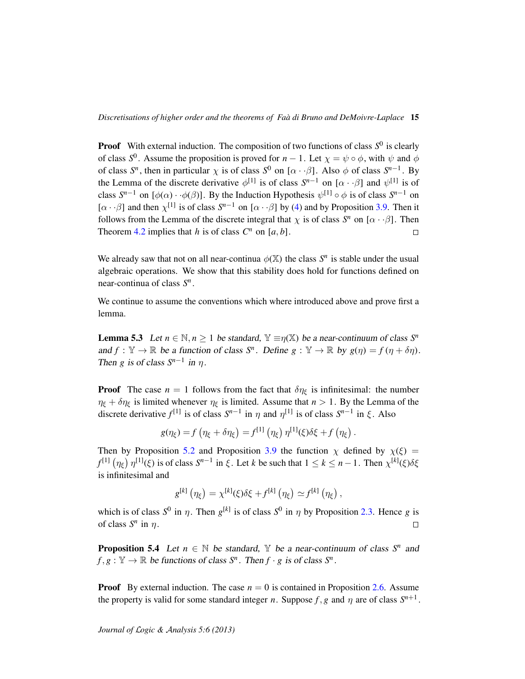**Proof** With external induction. The composition of two functions of class  $S^0$  is clearly of class  $S^0$ . Assume the proposition is proved for *n* − 1. Let  $\chi = \psi \circ \phi$ , with  $\psi$  and  $\phi$ of class  $S^n$ , then in particular  $\chi$  is of class  $S^0$  on  $[\alpha \cdot \beta]$ . Also  $\phi$  of class  $S^{n-1}$ . By the Lemma of the discrete derivative  $\phi^{[1]}$  is of class  $S^{n-1}$  on  $[\alpha \cdot \beta]$  and  $\psi^{[1]}$  is of class  $S^{n-1}$  on  $[\phi(\alpha) \cdot \phi(\beta)]$ . By the Induction Hypothesis  $\psi^{[1]} \circ \phi$  is of class  $S^{n-1}$  on [ $\alpha \cdot \beta$ ] and then  $\chi^{[1]}$  is of class  $S^{n-1}$  on [ $\alpha \cdot \beta$ ] by [\(4\)](#page-13-0) and by Proposition [3.9.](#page-8-2) Then it follows from the Lemma of the discrete integral that  $\chi$  is of class *S<sup>n</sup>* on  $[\alpha \cdot \beta]$ . Then Theorem [4.2](#page-11-0) implies that *h* is of class  $C^n$  on  $[a, b]$ .  $\Box$ 

We already saw that not on all near-continua  $\phi(\mathbb{X})$  the class  $S^n$  is stable under the usual algebraic operations. We show that this stability does hold for functions defined on near-continua of class *S n* .

We continue to assume the conventions which where introduced above and prove first a lemma.

<span id="page-14-0"></span>**Lemma 5.3** Let  $n \in \mathbb{N}, n \ge 1$  be standard,  $\mathbb{Y} \equiv \eta(\mathbb{X})$  be a near-continuum of class  $S^n$ and  $f: \mathbb{Y} \to \mathbb{R}$  be a function of class  $S^n$ . Define  $g: \mathbb{Y} \to \mathbb{R}$  by  $g(\eta) = f(\eta + \delta \eta)$ . Then *g* is of class  $S^{n-1}$  in  $\eta$ .

**Proof** The case  $n = 1$  follows from the fact that  $\delta \eta_{\xi}$  is infinitesimal: the number  $\eta_{\xi} + \delta \eta_{\xi}$  is limited whenever  $\eta_{\xi}$  is limited. Assume that  $n > 1$ . By the Lemma of the discrete derivative  $f^{[1]}$  is of class  $S^{n-1}$  in  $\eta$  and  $\eta^{[1]}$  is of class  $S^{n-1}$  in  $\xi$ . Also

$$
g(\eta_{\xi}) = f(\eta_{\xi} + \delta \eta_{\xi}) = f^{[1]}(\eta_{\xi}) \eta^{[1]}(\xi) \delta \xi + f(\eta_{\xi}).
$$

Then by Proposition [5.2](#page-13-1) and Proposition [3.9](#page-8-2) the function  $\chi$  defined by  $\chi(\xi)$  = *f*<sup>[1]</sup>  $(\eta_{\xi})$   $\eta^{[1]}(\xi)$  is of class  $S^{n-1}$  in  $\xi$ . Let *k* be such that  $1 \leq k \leq n-1$ . Then  $\chi^{[k]}(\xi)\delta\xi$ is infinitesimal and

$$
g^{[k]}(\eta_{\xi}) = \chi^{[k]}(\xi)\delta\xi + f^{[k]}(\eta_{\xi}) \simeq f^{[k]}(\eta_{\xi}),
$$

which is of class  $S^0$  in  $\eta$ . Then  $g^{[k]}$  is of class  $S^0$  in  $\eta$  by Proposition [2.3.](#page-3-0) Hence *g* is of class  $S^n$  in  $\eta$ .  $\Box$ 

<span id="page-14-1"></span>**Proposition 5.4** Let  $n \in \mathbb{N}$  be standard,  $\mathbb{Y}$  be a near-continuum of class  $S^n$  and  $f, g: \mathbb{Y} \to \mathbb{R}$  be functions of class  $S^n$ . Then  $f \cdot g$  is of class  $S^n$ .

**Proof** By external induction. The case  $n = 0$  is contained in Proposition [2.6.](#page-5-1) Assume the property is valid for some standard integer *n*. Suppose  $f$ ,  $g$  and  $\eta$  are of class  $S^{n+1}$ .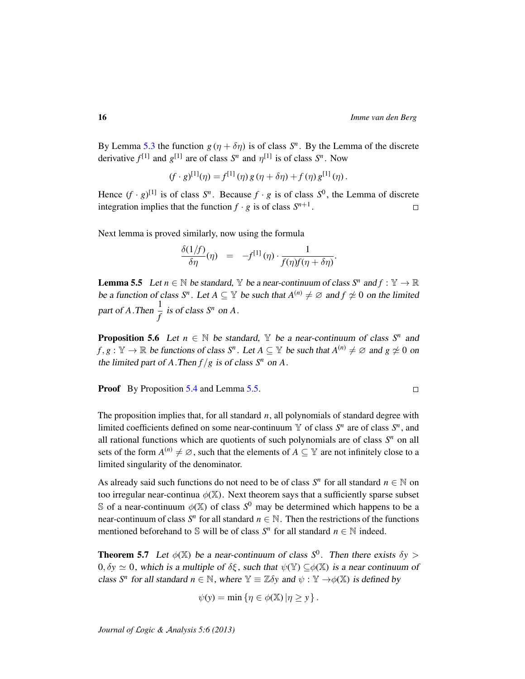By Lemma [5.3](#page-14-0) the function  $g(\eta + \delta \eta)$  is of class  $S^n$ . By the Lemma of the discrete derivative  $f^{[1]}$  and  $g^{[1]}$  are of class  $S^n$  and  $\eta^{[1]}$  is of class  $S^n$ . Now

$$
(f \cdot g)^{[1]}(\eta) = f^{[1]}(\eta) g(\eta + \delta \eta) + f(\eta) g^{[1]}(\eta).
$$

Hence  $(f \cdot g)^{[1]}$  is of class  $S^n$ . Because  $f \cdot g$  is of class  $S^0$ , the Lemma of discrete integration implies that the function  $f \cdot g$  is of class  $S^{n+1}$ .  $\Box$ 

Next lemma is proved similarly, now using the formula

$$
\frac{\delta(1/f)}{\delta \eta}(\eta) = -f^{[1]}(\eta) \cdot \frac{1}{f(\eta)f(\eta + \delta \eta)}.
$$

<span id="page-15-0"></span>**Lemma 5.5** Let  $n \in \mathbb{N}$  be standard, Y be a near-continuum of class  $S^n$  and  $f : \mathbb{Y} \to \mathbb{R}$ be a function of class  $S^n$ . Let  $A \subseteq Y$  be such that  $A^{(n)} \neq \emptyset$  and  $f \neq 0$  on the limited part of *A*. Then  $\frac{1}{f}$  is of class  $S^n$  on *A*.

**Proposition 5.6** Let  $n \in \mathbb{N}$  be standard,  $\mathbb{Y}$  be a near-continuum of class  $S^n$  and  $f, g: \mathbb{Y} \to \mathbb{R}$  be functions of class  $S^n$ . Let  $A \subseteq \mathbb{Y}$  be such that  $A^{(n)} \neq \emptyset$  and  $g \neq 0$  on the limited part of *A*. Then  $f/g$  is of class  $S<sup>n</sup>$  on *A*.

**Proof** By Proposition [5.4](#page-14-1) and Lemma [5.5.](#page-15-0)

 $\Box$ 

The proposition implies that, for all standard *n*, all polynomials of standard degree with limited coefficients defined on some near-continuum  $\mathbb{Y}$  of class  $S^n$  are of class  $S^n$ , and all rational functions which are quotients of such polynomials are of class *S <sup>n</sup>* on all sets of the form  $A^{(n)} \neq \emptyset$ , such that the elements of  $A \subseteq Y$  are not infinitely close to a limited singularity of the denominator.

As already said such functions do not need to be of class  $S<sup>n</sup>$  for all standard  $n \in \mathbb{N}$  on too irregular near-continua  $\phi(\mathbb{X})$ . Next theorem says that a sufficiently sparse subset S of a near-continuum  $\phi(\mathbb{X})$  of class  $S^0$  may be determined which happens to be a near-continuum of class  $S^n$  for all standard  $n \in \mathbb{N}$ . Then the restrictions of the functions mentioned beforehand to  $\mathbb S$  will be of class  $S^n$  for all standard  $n \in \mathbb N$  indeed.

**Theorem 5.7** Let  $\phi(\mathbb{X})$  be a near-continuum of class  $S^0$ . Then there exists  $\delta y >$  $0, \delta y \simeq 0$ , which is a multiple of  $\delta \xi$ , such that  $\psi(\mathbb{Y}) \subset \phi(\mathbb{X})$  is a near continuum of class *S*<sup>*n*</sup> for all standard  $n \in \mathbb{N}$ , where  $\mathbb{Y} \equiv \mathbb{Z} \delta y$  and  $\psi : \mathbb{Y} \rightarrow \phi(\mathbb{X})$  is defined by

$$
\psi(y) = \min \left\{ \eta \in \phi(\mathbb{X}) \left| \eta \geq y \right. \right\}.
$$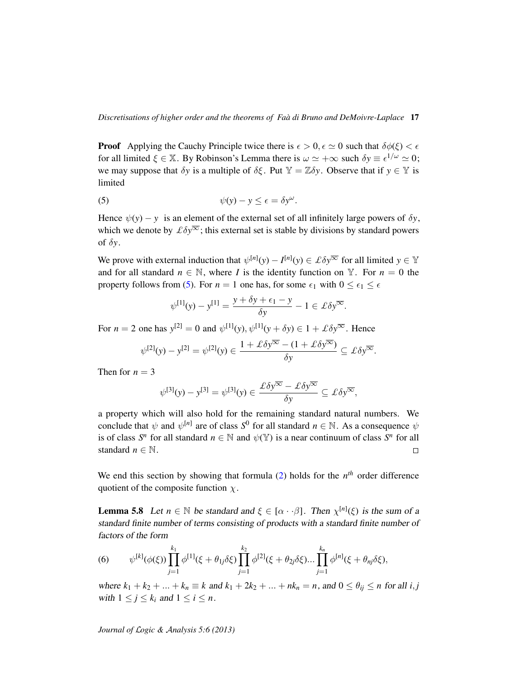**Proof** Applying the Cauchy Principle twice there is  $\epsilon > 0$ ,  $\epsilon \simeq 0$  such that  $\delta\phi(\xi) < \epsilon$ for all limited  $\xi \in \mathbb{X}$ . By Robinson's Lemma there is  $\omega \simeq +\infty$  such  $\delta y \equiv \epsilon^{1/\omega} \simeq 0$ ; we may suppose that  $\delta y$  is a multiple of  $\delta \xi$ . Put  $\mathbb{Y} = \mathbb{Z} \delta y$ . Observe that if  $y \in \mathbb{Y}$  is limited

(5) 
$$
\psi(y) - y \leq \epsilon = \delta y^{\omega}.
$$

Hence  $\psi(y) - y$  is an element of the external set of all infinitely large powers of  $\delta y$ , which we denote by  $\mathcal{L}\delta y^{\overline{\infty}}$ ; this external set is stable by divisions by standard powers of  $\delta v$ .

We prove with external induction that  $\psi^{[n]}(y) - I^{[n]}(y) \in \mathcal{L} \delta y^{\overline{\infty}}$  for all limited  $y \in \mathbb{Y}$ and for all standard  $n \in \mathbb{N}$ , where *I* is the identity function on Y. For  $n = 0$  the property follows from [\(5\)](#page-16-0). For  $n = 1$  one has, for some  $\epsilon_1$  with  $0 \leq \epsilon_1 \leq \epsilon$ 

<span id="page-16-0"></span>
$$
\psi^{[1]}(y) - y^{[1]} = \frac{y + \delta y + \epsilon_1 - y}{\delta y} - 1 \in \pounds \delta y^{\overline{\infty}}.
$$

For  $n = 2$  one has  $y^{[2]} = 0$  and  $\psi^{[1]}(y), \psi^{[1]}(y + \delta y) \in 1 + \mathcal{L} \delta y^{\overline{\infty}}$ . Hence

$$
\psi^{[2]}(y) - y^{[2]} = \psi^{[2]}(y) \in \frac{1 + \pounds \delta y^{\overline{\infty}} - (1 + \pounds \delta y^{\overline{\infty}})}{\delta y} \subseteq \pounds \delta y^{\overline{\infty}}.
$$

Then for  $n = 3$ 

$$
\psi^{[3]}(y) - y^{[3]} = \psi^{[3]}(y) \in \frac{\mathcal{L}\delta y^{\overline{\infty}} - \mathcal{L}\delta y^{\overline{\infty}}}{\delta y} \subseteq \mathcal{L}\delta y^{\overline{\infty}},
$$

a property which will also hold for the remaining standard natural numbers. We conclude that  $\psi$  and  $\psi^{[n]}$  are of class  $S^0$  for all standard  $n \in \mathbb{N}$ . As a consequence  $\psi$ is of class  $S^n$  for all standard  $n \in \mathbb{N}$  and  $\psi(\mathbb{Y})$  is a near continuum of class  $S^n$  for all standard  $n \in \mathbb{N}$ .  $\Box$ 

We end this section by showing that formula  $(2)$  holds for the  $n<sup>th</sup>$  order difference quotient of the composite function  $\chi$ .

<span id="page-16-1"></span>**Lemma 5.8** Let  $n \in \mathbb{N}$  be standard and  $\xi \in [\alpha \cdot \cdot \beta]$ . Then  $\chi^{[n]}(\xi)$  is the sum of a standard finite number of terms consisting of products with a standard finite number of factors of the form

(6) 
$$
\psi^{[k]}(\phi(\xi))\prod_{j=1}^{k_1}\phi^{[1]}(\xi+\theta_{1j}\delta\xi)\prod_{j=1}^{k_2}\phi^{[2]}(\xi+\theta_{2j}\delta\xi)\dots\prod_{j=1}^{k_n}\phi^{[n]}(\xi+\theta_{nj}\delta\xi),
$$

where  $k_1 + k_2 + ... + k_n \equiv k$  and  $k_1 + 2k_2 + ... + nk_n = n$ , and  $0 \le \theta_{ij} \le n$  for all *i*, *j* with  $1 \leq j \leq k_i$  and  $1 \leq i \leq n$ .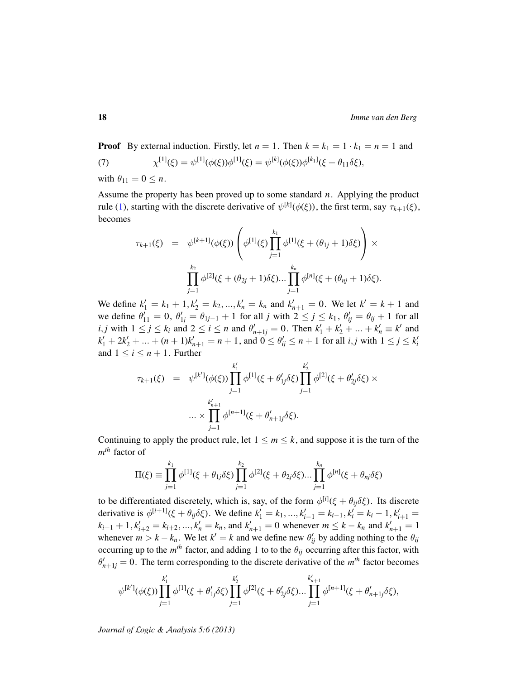**Proof** By external induction. Firstly, let  $n = 1$ . Then  $k = k_1 = 1 \cdot k_1 = n = 1$  and  $(7)$  $\psi^{[1]}(\xi) = \psi^{[1]}(\phi(\xi))\phi^{[1]}(\xi) = \psi^{[k]}(\phi(\xi))\phi^{[k_1]}(\xi + \theta_{11}\delta\xi),$ 

with  $\theta_{11} = 0 \leq n$ .

Assume the property has been proved up to some standard *n*. Applying the product rule [\(1\)](#page-8-0), starting with the discrete derivative of  $\psi^{[k]}(\phi(\xi))$ , the first term, say  $\tau_{k+1}(\xi)$ , becomes

$$
\tau_{k+1}(\xi) = \psi^{[k+1]}(\phi(\xi)) \left( \phi^{[1]}(\xi) \prod_{j=1}^{k_1} \phi^{[1]}(\xi + (\theta_{1j} + 1)\delta\xi) \right) \times \prod_{j=1}^{k_2} \phi^{[2]}(\xi + (\theta_{2j} + 1)\delta\xi) \dots \prod_{j=1}^{k_n} \phi^{[n]}(\xi + (\theta_{nj} + 1)\delta\xi).
$$

We define  $k'_1 = k_1 + 1, k'_2 = k_2, ..., k'_n = k_n$  and  $k'_{n+1} = 0$ . We let  $k' = k + 1$  and we define  $\theta'_{11} = 0$ ,  $\theta'_{1j} = \theta_{1j-1} + 1$  for all *j* with  $2 \le j \le k_1$ ,  $\theta'_{ij} = \theta_{ij} + 1$  for all  $i, j$  with  $1 \le j \le k_i$  and  $2 \le i \le n$  and  $\theta'_{n+1j} = 0$ . Then  $k'_1 + k'_2 + ... + k'_n \equiv k'$  and  $k'_1 + 2k'_2 + ... + (n+1)k'_{n+1} = n+1$ , and  $0 \le \theta'_{ij} \le n+1$  for all *i*, *j* with  $1 \le j \le k'_i$ and  $1 \leq i \leq n+1$ . Further

$$
\tau_{k+1}(\xi) = \psi^{[k']}(\phi(\xi)) \prod_{j=1}^{k'_1} \phi^{[1]}(\xi + \theta'_{1j}\delta\xi) \prod_{j=1}^{k'_2} \phi^{[2]}(\xi + \theta'_{2j}\delta\xi) \times \dots \times \prod_{j=1}^{k'_{n+1}} \phi^{[n+1]}(\xi + \theta'_{n+1j}\delta\xi).
$$

Continuing to apply the product rule, let  $1 \le m \le k$ , and suppose it is the turn of the *m th* factor of

$$
\Pi(\xi) \equiv \prod_{j=1}^{k_1} \phi^{[1]}(\xi + \theta_{1j}\delta\xi) \prod_{j=1}^{k_2} \phi^{[2]}(\xi + \theta_{2j}\delta\xi) \dots \prod_{j=1}^{k_n} \phi^{[n]}(\xi + \theta_{nj}\delta\xi)
$$

to be differentiated discretely, which is, say, of the form  $\phi^{[i]}(\xi + \theta_{ij}\delta\xi)$ . Its discrete derivative is  $\phi^{[i+1]}(\xi + \theta_{ij}\delta\xi)$ . We define  $k'_1 = k_1, ..., k'_{i-1} = k_{i-1}, k'_i = k_i - 1, k'_{i+1} =$  $k_{i+1} + 1, k'_{i+2} = k_{i+2}, ..., k'_{n} = k_{n}$ , and  $k'_{n+1} = 0$  whenever  $m \leq k - k_{n}$  and  $k'_{n+1} = 1$ whenever  $m > k - k_n$ . We let  $k' = k$  and we define new  $\theta'_{ij}$  by adding nothing to the  $\theta_{ij}$ occurring up to the  $m<sup>th</sup>$  factor, and adding 1 to to the  $\theta_{ij}$  occurring after this factor, with  $\theta'_{n+1j} = 0$ . The term corresponding to the discrete derivative of the  $m^{th}$  factor becomes

$$
\psi^{[k']}(\phi(\xi)) \prod_{j=1}^{k'_1} \phi^{[1]}(\xi + \theta'_{1j}\delta\xi) \prod_{j=1}^{k'_2} \phi^{[2]}(\xi + \theta'_{2j}\delta\xi) \dots \prod_{j=1}^{k'_{n+1}} \phi^{[n+1]}(\xi + \theta'_{n+1j}\delta\xi),
$$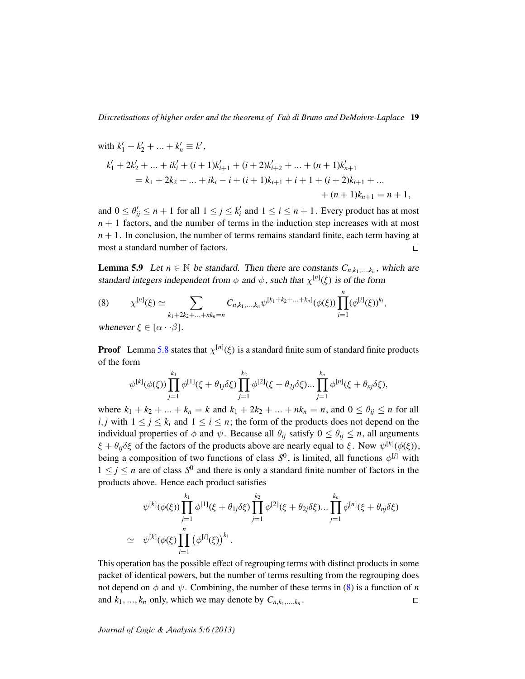with 
$$
k'_1 + k'_2 + ... + k'_n \equiv k'
$$
,  
\n
$$
k'_1 + 2k'_2 + ... + ik'_i + (i+1)k'_{i+1} + (i+2)k'_{i+2} + ... + (n+1)k'_{n+1}
$$
\n
$$
= k_1 + 2k_2 + ... + ik_i - i + (i+1)k_{i+1} + i + 1 + (i+2)k_{i+1} + ... + (n+1)k_{n+1} = n+1,
$$

and  $0 \le \theta'_{ij} \le n+1$  for all  $1 \le j \le k'_i$  and  $1 \le i \le n+1$ . Every product has at most  $n + 1$  factors, and the number of terms in the induction step increases with at most  $n + 1$ . In conclusion, the number of terms remains standard finite, each term having at most a standard number of factors.  $\Box$ 

<span id="page-18-1"></span>**Lemma 5.9** Let  $n \in \mathbb{N}$  be standard. Then there are constants  $C_{n,k_1,\dots,k_n}$ , which are standard integers independent from  $\phi$  and  $\psi$ , such that  $\chi^{[n]}(\xi)$  is of the form

<span id="page-18-0"></span>(8) 
$$
\chi^{[n]}(\xi) \simeq \sum_{k_1+2k_2+\ldots+nk_n=n} C_{n,k_1,\ldots,k_n} \psi^{[k_1+k_2+\ldots+k_n]}(\phi(\xi)) \prod_{i=1}^n (\phi^{[i]}(\xi))^{k_i},
$$

whenever  $\xi \in [\alpha \cdot \cdot \beta]$ .

**Proof** Lemma [5.8](#page-16-1) states that  $\chi^{[n]}(\xi)$  is a standard finite sum of standard finite products of the form

$$
\psi^{[k]}(\phi(\xi))\prod_{j=1}^{k_1}\phi^{[1]}(\xi+\theta_{1j}\delta\xi)\prod_{j=1}^{k_2}\phi^{[2]}(\xi+\theta_{2j}\delta\xi)\dots\prod_{j=1}^{k_n}\phi^{[n]}(\xi+\theta_{nj}\delta\xi),
$$

where  $k_1 + k_2 + ... + k_n = k$  and  $k_1 + 2k_2 + ... + nk_n = n$ , and  $0 \le \theta_{ij} \le n$  for all *i*, *j* with  $1 \leq j \leq k_i$  and  $1 \leq i \leq n$ ; the form of the products does not depend on the individual properties of  $\phi$  and  $\psi$ . Because all  $\theta_{ij}$  satisfy  $0 \le \theta_{ij} \le n$ , all arguments  $\xi + \theta_{ij}\delta\xi$  of the factors of the products above are nearly equal to  $\xi$ . Now  $\psi^{[k]}(\phi(\xi))$ , being a composition of two functions of class  $S^0$ , is limited, all functions  $\phi^{[j]}$  with  $1 \leq j \leq n$  are of class  $S^0$  and there is only a standard finite number of factors in the products above. Hence each product satisfies

$$
\psi^{[k]}(\phi(\xi)) \prod_{j=1}^{k_1} \phi^{[1]}(\xi + \theta_{1j}\delta\xi) \prod_{j=1}^{k_2} \phi^{[2]}(\xi + \theta_{2j}\delta\xi) \dots \prod_{j=1}^{k_n} \phi^{[n]}(\xi + \theta_{nj}\delta\xi)
$$
  
 
$$
\simeq \psi^{[k]}(\phi(\xi) \prod_{i=1}^n (\phi^{[i]}(\xi))^{k_i}.
$$

This operation has the possible effect of regrouping terms with distinct products in some packet of identical powers, but the number of terms resulting from the regrouping does not depend on  $\phi$  and  $\psi$ . Combining, the number of these terms in [\(8\)](#page-18-0) is a function of *n* and  $k_1, ..., k_n$  only, which we may denote by  $C_{n, k_1, ..., k_n}$ .  $\Box$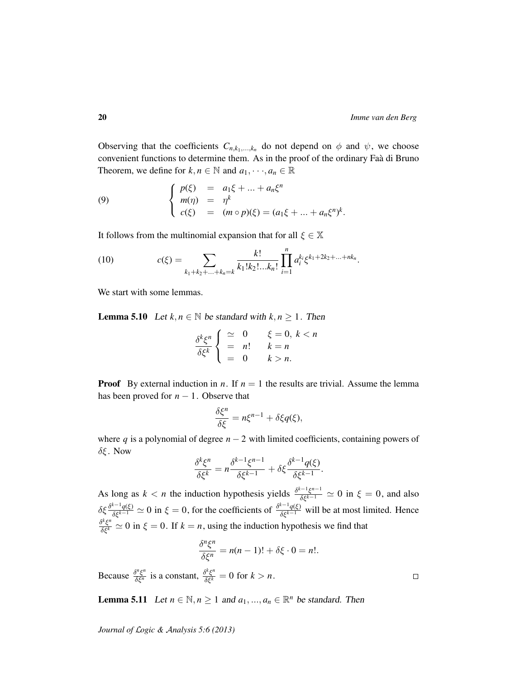$\Box$ 

Observing that the coefficients  $C_{n,k_1,\dots,k_n}$  do not depend on  $\phi$  and  $\psi$ , we choose convenient functions to determine them. As in the proof of the ordinary Faa di Bruno ` Theorem, we define for  $k, n \in \mathbb{N}$  and  $a_1, \dots, a_n \in \mathbb{R}$ 

<span id="page-19-2"></span>(9) 
$$
\begin{cases} p(\xi) = a_1 \xi + ... + a_n \xi^n \\ m(\eta) = \eta^k \\ c(\xi) = (m \circ p)(\xi) = (a_1 \xi + ... + a_n \xi^n)^k. \end{cases}
$$

It follows from the multinomial expansion that for all  $\xi \in \mathbb{X}$ 

<span id="page-19-0"></span>(10) 
$$
c(\xi) = \sum_{k_1 + k_2 + \ldots + k_n = k} \frac{k!}{k_1! k_2! \ldots k_n!} \prod_{i=1}^n a_i^{k_i} \xi^{k_1 + 2k_2 + \ldots + nk_n}.
$$

We start with some lemmas.

<span id="page-19-1"></span>**Lemma 5.10** Let  $k, n \in \mathbb{N}$  be standard with  $k, n \ge 1$ . Then

$$
\frac{\delta^k \xi^n}{\delta \xi^k} \begin{cases} \simeq & 0 \quad \xi = 0, \ k < n \\ = & n! \quad \xi = n \\ = & 0 \quad \xi > n. \end{cases}
$$

**Proof** By external induction in *n*. If  $n = 1$  the results are trivial. Assume the lemma has been proved for  $n - 1$ . Observe that

$$
\frac{\delta \xi^n}{\delta \xi} = n \xi^{n-1} + \delta \xi q(\xi),
$$

where *q* is a polynomial of degree  $n - 2$  with limited coefficients, containing powers of  $δξ$ . Now

$$
\frac{\delta^k \xi^n}{\delta \xi^k} = n \frac{\delta^{k-1} \xi^{n-1}}{\delta \xi^{k-1}} + \delta \xi \frac{\delta^{k-1} q(\xi)}{\delta \xi^{k-1}}.
$$

As long as  $k < n$  the induction hypothesis yields  $\frac{\delta^{k-1} \xi^{n-1}}{\delta \xi^{k-1}} \simeq 0$  in  $\xi = 0$ , and also  $\delta \xi \frac{\delta^{k-1} q(\xi)}{\delta \xi^{k-1}} \simeq 0$  in  $\xi = 0$ , for the coefficients of  $\frac{\delta^{k-1} q(\xi)}{\delta \xi^{k-1}}$  will be at most limited. Hence  $\frac{\delta^k \xi^n}{\delta \xi^k} \simeq 0$  in  $\xi = 0$ . If  $k = n$ , using the induction hypothesis we find that

$$
\frac{\delta^n \xi^n}{\delta \xi^n} = n(n-1)! + \delta \xi \cdot 0 = n!.
$$

Because  $\frac{\delta^n \xi^n}{\delta \xi^n}$  is a constant,  $\frac{\delta^k \xi^n}{\delta \xi^k} = 0$  for  $k > n$ .

<span id="page-19-3"></span>**Lemma 5.11** Let  $n \in \mathbb{N}, n \ge 1$  and  $a_1, ..., a_n \in \mathbb{R}^n$  be standard. Then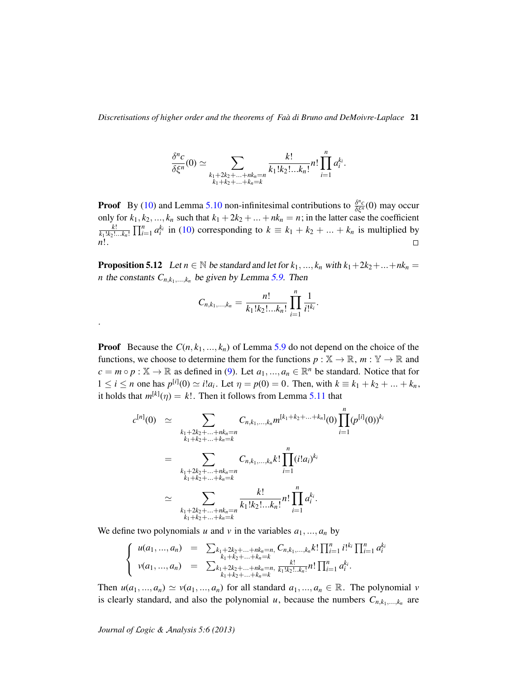*Discretisations of higher order and the theorems of Faa di Bruno and DeMoivre-Laplace `* 21

$$
\frac{\delta^n c}{\delta \xi^n}(0) \simeq \sum_{\substack{k_1+2k_2+\ldots+nk_n=n\\k_1+k_2+\ldots+k_n=k}}\frac{k!}{k_1!k_2!\ldots k_n!}n! \prod_{i=1}^n a_i^{k_i}.
$$

**Proof** By [\(10\)](#page-19-0) and Lemma [5.10](#page-19-1) non-infinitesimal contributions to  $\frac{\delta^n c}{\delta \xi^n}(0)$  may occur only for  $k_1, k_2, ..., k_n$  such that  $k_1 + 2k_2 + ... + nk_n = n$ ; in the latter case the coefficient *k*!  $\frac{k!}{k_1!k_2!...k_n!}$   $\prod_{i=1}^n a_i^{k_i}$  in [\(10\)](#page-19-0) corresponding to  $k \equiv k_1 + k_2 + ... + k_n$  is multiplied by *n*!.

**Proposition 5.12** Let  $n \in \mathbb{N}$  be standard and let for  $k_1, ..., k_n$  with  $k_1 + 2k_2 + ... + nk_n =$ *n* the constants  $C_{n,k_1,\dots,k_n}$  be given by Lemma [5.9.](#page-18-1) Then

$$
C_{n,k_1,\ldots,k_n} = \frac{n!}{k_1!k_2!\ldots k_n!} \prod_{i=1}^n \frac{1}{i!^{k_i}}.
$$

**Proof** Because the  $C(n, k_1, ..., k_n)$  of Lemma [5.9](#page-18-1) do not depend on the choice of the functions, we choose to determine them for the functions  $p : \mathbb{X} \to \mathbb{R}$ ,  $m : \mathbb{Y} \to \mathbb{R}$  and  $c = m \circ p : \mathbb{X} \to \mathbb{R}$  as defined in [\(9\)](#page-19-2). Let  $a_1, ..., a_n \in \mathbb{R}^n$  be standard. Notice that for  $1 \le i \le n$  one has  $p^{[i]}(0) \simeq i!a_i$ . Let  $\eta = p(0) = 0$ . Then, with  $k \equiv k_1 + k_2 + ... + k_n$ , it holds that  $m^{[k]}(\eta) = k!$ . Then it follows from Lemma [5.11](#page-19-3) that

$$
c^{[n]}(0) \simeq \sum_{\substack{k_1+2k_2+\ldots+nk_n=n\\k_1+k_2+\ldots+k_n=k}} C_{n,k_1,\ldots,k_n} m^{[k_1+k_2+\ldots+k_n]}(0) \prod_{i=1}^n (p^{[i]}(0))^{k_i}
$$
  

$$
= \sum_{\substack{k_1+2k_2+\ldots+nk_n=n\\k_1+k_2+\ldots+k_n=k}} C_{n,k_1,\ldots,k_n} k! \prod_{i=1}^n (i!a_i)^{k_i}
$$
  

$$
\simeq \sum_{\substack{k_1+2k_2+\ldots+nk_n=n\\k_1+k_2+\ldots+k_n=k}} \frac{k!}{k_1!k_2!\ldots k_n!} n! \prod_{i=1}^n a_i^{k_i}.
$$

We define two polynomials *u* and *v* in the variables  $a_1, ..., a_n$  by

$$
\begin{cases}\n u(a_1, ..., a_n) = \sum_{\substack{k_1 + 2k_2 + ... + nk_n = n, \\ k_1 + k_2 + ... + k_n = k}} C_{n, k_1, ..., k_n} k! \prod_{i=1}^n i!^{k_i} \prod_{i=1}^n a_i^{k_i} \\
 v(a_1, ..., a_n) = \sum_{\substack{k_1 + 2k_2 + ... + nk_n = n, \\ k_1 + k_2 + ... + k_n = k}} \frac{k!}{k_1! k_2! ... k_n!} n! \prod_{i=1}^n a_i^{k_i}.\n\end{cases}
$$

Then  $u(a_1, ..., a_n) \simeq v(a_1, ..., a_n)$  for all standard  $a_1, ..., a_n \in \mathbb{R}$ . The polynomial *v* is clearly standard, and also the polynomial *u*, because the numbers  $C_{n,k_1,...,k_n}$  are

*Journal of* L*ogic &* A*nalysis 5:6 (2013)*

.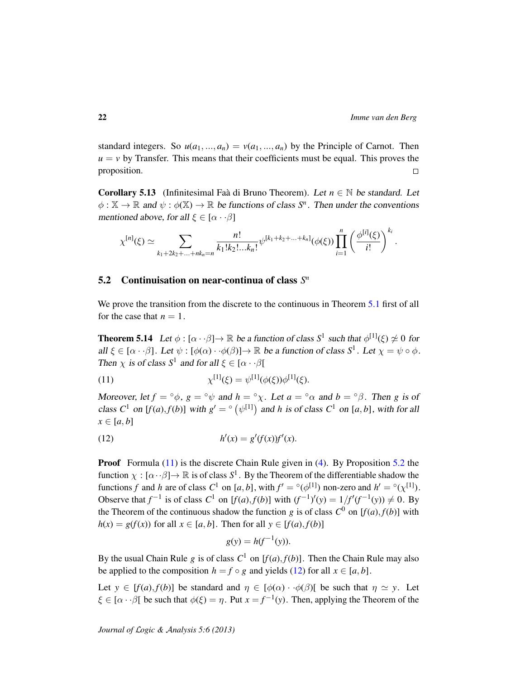standard integers. So  $u(a_1, ..., a_n) = v(a_1, ..., a_n)$  by the Principle of Carnot. Then  $u = v$  by Transfer. This means that their coefficients must be equal. This proves the proposition.  $\Box$ 

<span id="page-21-4"></span>**Corollary 5.13** (Infinitesimal Faa di Bruno Theorem). Let  $n \in \mathbb{N}$  be standard. Let  $\phi: \mathbb{X} \to \mathbb{R}$  and  $\psi: \phi(\mathbb{X}) \to \mathbb{R}$  be functions of class  $S^n$ . Then under the conventions mentioned above, for all  $\xi \in [\alpha \cdot \beta]$ 

$$
\chi^{[n]}(\xi) \simeq \sum_{k_1+2k_2+\ldots+nk_n=n} \frac{n!}{k_1!k_2!\ldots k_n!} \psi^{[k_1+k_2+\ldots+k_n]}(\phi(\xi)) \prod_{i=1}^n \left(\frac{\phi^{[i]}(\xi)}{i!}\right)^{k_i}.
$$

### <span id="page-21-0"></span>5.2 Continuisation on near-continua of class  $S<sup>n</sup>$

We prove the transition from the discrete to the continuous in Theorem [5.1](#page-12-3) first of all for the case that  $n = 1$ .

<span id="page-21-3"></span>**Theorem 5.14** Let  $\phi : [\alpha \cdot \beta] \to \mathbb{R}$  be a function of class  $S^1$  such that  $\phi^{[1]}(\xi) \not\simeq 0$  for all  $\xi \in [\alpha \cdot \cdot \beta]$ . Let  $\psi : [\phi(\alpha) \cdot \cdot \phi(\beta)] \to \mathbb{R}$  be a function of class  $S^1$ . Let  $\chi = \psi \circ \phi$ . Then  $\chi$  is of class  $S^1$  and for all  $\xi \in [\alpha \cdot \cdot \beta]$ 

<span id="page-21-1"></span>(11) 
$$
\chi^{[1]}(\xi) = \psi^{[1]}(\phi(\xi))\phi^{[1]}(\xi).
$$

Moreover, let  $f = \circ \phi$ ,  $g = \circ \psi$  and  $h = \circ \chi$ . Let  $a = \circ \alpha$  and  $b = \circ \beta$ . Then g is of class  $C^1$  on  $[f(a), f(b)]$  with  $g' = \circ (\psi^{[1]})$  and *h* is of class  $C^1$  on  $[a, b]$ , with for all  $x \in [a, b]$ 

(12) 
$$
h'(x) = g'(f(x))f'(x).
$$

**Proof** Formula  $(11)$  is the discrete Chain Rule given in  $(4)$ . By Proposition [5.2](#page-13-1) the function  $\chi : [\alpha \cdot \beta] \to \mathbb{R}$  is of class  $S^1$ . By the Theorem of the differentiable shadow the functions *f* and *h* are of class  $C^1$  on [a, b], with  $f' = \circ(\phi^{[1]})$  non-zero and  $h' = \circ(\chi^{[1]})$ . Observe that  $f^{-1}$  is of class  $C^1$  on  $[f(a), f(b)]$  with  $(f^{-1})'(y) = 1/f'(f^{-1}(y)) \neq 0$ . By the Theorem of the continuous shadow the function *g* is of class  $C^0$  on  $[f(a), f(b)]$  with  $h(x) = g(f(x))$  for all  $x \in [a, b]$ . Then for all  $y \in [f(a), f(b)]$ 

<span id="page-21-2"></span>
$$
g(y) = h(f^{-1}(y)).
$$

By the usual Chain Rule *g* is of class  $C^1$  on  $[f(a), f(b)]$ . Then the Chain Rule may also be applied to the composition  $h = f \circ g$  and yields [\(12\)](#page-21-2) for all  $x \in [a, b]$ .

Let  $y \in [f(a), f(b)]$  be standard and  $\eta \in [\phi(\alpha) \cdot \phi(\beta)]$  be such that  $\eta \simeq y$ . Let  $\xi \in [\alpha \cdot \cdot \beta]$  be such that  $\phi(\xi) = \eta$ . Put  $x = f^{-1}(y)$ . Then, applying the Theorem of the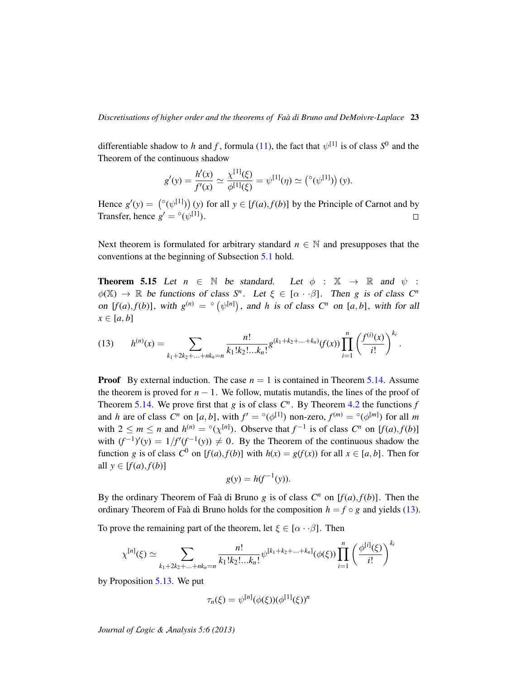differentiable shadow to *h* and *f*, formula [\(11\)](#page-21-1), the fact that  $\psi^{[1]}$  is of class  $S^0$  and the Theorem of the continuous shadow

$$
g'(y) = \frac{h'(x)}{f'(x)} \simeq \frac{\chi^{[1]}(\xi)}{\phi^{[1]}(\xi)} = \psi^{[1]}(\eta) \simeq (^\circ(\psi^{[1]}))(y).
$$

Hence  $g'(y) = \binom{\circ(\psi^{[1]})}{y}$  (*y*) for all  $y \in [f(a), f(b)]$  by the Principle of Carnot and by Transfer, hence  $g' = \circ(\psi^{[1]})$ .  $\Box$ 

Next theorem is formulated for arbitrary standard  $n \in \mathbb{N}$  and presupposes that the conventions at the beginning of Subsection [5.1](#page-13-2) hold.

**Theorem 5.15** Let  $n \in \mathbb{N}$  be standard. Let  $\phi : \mathbb{X} \to \mathbb{R}$  and  $\psi$ :  $\phi(\mathbb{X}) \to \mathbb{R}$  be functions of class  $S^n$ . Let  $\xi \in [\alpha \cdot \cdot \beta]$ . Then *g* is of class  $C^n$ on  $[f(a), f(b)]$ , with  $g^{(n)} = \circ (\psi^{[n]})$ , and *h* is of class  $C^n$  on  $[a, b]$ , with for all  $x \in [a, b]$ 

<span id="page-22-0"></span>
$$
(13) \qquad h^{(n)}(x) = \sum_{k_1+2k_2+\ldots+nk_n=n} \frac{n!}{k_1!k_2!\ldots k_n!} g^{(k_1+k_2+\ldots+k_n)}(f(x)) \prod_{i=1}^n \left(\frac{f^{(i)}(x)}{i!}\right)^{k_i}.
$$

**Proof** By external induction. The case  $n = 1$  is contained in Theorem [5.14.](#page-21-3) Assume the theorem is proved for  $n - 1$ . We follow, mutatis mutandis, the lines of the proof of Theorem [5.14.](#page-21-3) We prove first that  $g$  is of class  $C<sup>n</sup>$ . By Theorem [4.2](#page-11-0) the functions  $f$ and *h* are of class  $C^n$  on  $[a, b]$ , with  $f' = \circ(\phi^{[1]})$  non-zero,  $f^{(m)} = \circ(\phi^{[m]})$  for all *m* with  $2 \le m \le n$  and  $h^{(n)} = \mathcal{O}(\chi^{[n]})$ . Observe that  $f^{-1}$  is of class  $C^n$  on  $[f(a), f(b)]$ with  $(f^{-1})'(y) = 1/f'(f^{-1}(y)) \neq 0$ . By the Theorem of the continuous shadow the function *g* is of class  $C^0$  on  $[f(a), f(b)]$  with  $h(x) = g(f(x))$  for all  $x \in [a, b]$ . Then for all  $y \in [f(a), f(b)]$ 

$$
g(y) = h(f^{-1}(y)).
$$

By the ordinary Theorem of Faa di Bruno  $g$  is of class  $C^n$  on  $[f(a), f(b)]$ . Then the ordinary Theorem of Faà di Bruno holds for the composition  $h = f \circ g$  and yields [\(13\)](#page-22-0).

To prove the remaining part of the theorem, let  $\xi \in [\alpha \cdot \beta]$ . Then

$$
\chi^{[n]}(\xi) \simeq \sum_{k_1+2k_2+\ldots+nk_n=n} \frac{n!}{k_1!k_2!\ldots k_n!} \psi^{[k_1+k_2+\ldots+k_n]}(\phi(\xi)) \prod_{i=1}^n \left(\frac{\phi^{[i]}(\xi)}{i!}\right)^{k_i}
$$

by Proposition [5.13.](#page-21-4) We put

$$
\tau_n(\xi) = \psi^{[n]}(\phi(\xi))(\phi^{[1]}(\xi))^n
$$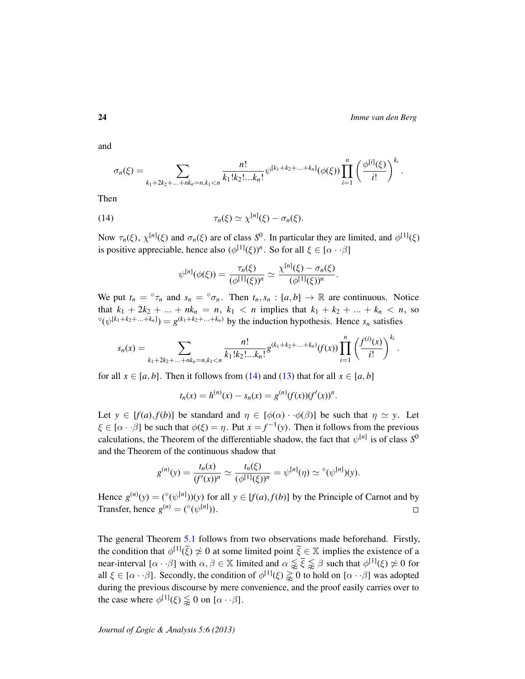and

$$
\sigma_n(\xi) = \sum_{k_1+2k_2+\ldots+nk_n=n, k_1
$$

Then

(14) 
$$
\tau_n(\xi) \simeq \chi^{[n]}(\xi) - \sigma_n(\xi).
$$

Now  $\tau_n(\xi)$ ,  $\chi^{[n]}(\xi)$  and  $\sigma_n(\xi)$  are of class  $S^0$ . In particular they are limited, and  $\phi^{[1]}(\xi)$ is positive appreciable, hence also  $(\phi^{[1]}(\xi))^n$ . So for all  $\xi \in [\alpha \cdot \cdot \beta]$ 

<span id="page-23-0"></span>
$$
\psi^{[n]}(\phi(\xi)) = \frac{\tau_n(\xi)}{(\phi^{[1]}(\xi))^n} \simeq \frac{\chi^{[n]}(\xi) - \sigma_n(\xi)}{(\phi^{[1]}(\xi))^n}.
$$

We put  $t_n = \sigma_{\tau_n}$  and  $s_n = \sigma_{\tau_n}$ . Then  $t_n, s_n : [a, b] \to \mathbb{R}$  are continuous. Notice that  $k_1 + 2k_2 + ... + nk_n = n$ ,  $k_1 < n$  implies that  $k_1 + k_2 + ... + k_n < n$ , so  $\mathcal{O}(\psi^{[k_1+k_2+\ldots+k_n]}) = g^{(k_1+k_2+\ldots+k_n)}$  by the induction hypothesis. Hence  $s_n$  satisfies

$$
s_n(x) = \sum_{k_1+2k_2+\ldots+nk_n=n, k_1
$$

for all  $x \in [a, b]$ . Then it follows from [\(14\)](#page-23-0) and [\(13\)](#page-22-0) that for all  $x \in [a, b]$ 

$$
t_n(x) = h^{(n)}(x) - s_n(x) = g^{(n)}(f(x))(f'(x))^n.
$$

Let  $y \in [f(a), f(b)]$  be standard and  $\eta \in [\phi(\alpha) \cdot \phi(\beta)]$  be such that  $\eta \simeq y$ . Let  $\xi \in [\alpha \cdot \cdot \beta]$  be such that  $\phi(\xi) = \eta$ . Put  $x = f^{-1}(y)$ . Then it follows from the previous calculations, the Theorem of the differentiable shadow, the fact that  $\psi^{[n]}$  is of class  $S^0$ and the Theorem of the continuous shadow that

$$
g^{(n)}(y) = \frac{t_n(x)}{(f'(x))^n} \simeq \frac{t_n(\xi)}{(\phi^{[1]}(\xi))^n} = \psi^{[n]}(\eta) \simeq {}^{\circ}(\psi^{[n]})(y).
$$

Hence  $g^{(n)}(y) = (^\circ(\psi^{[n]}))(y)$  for all  $y \in [f(a), f(b)]$  by the Principle of Carnot and by Transfer, hence  $g^{(n)} = (^\circ(\psi^{[n]})).$  $\Box$ 

The general Theorem [5.1](#page-12-3) follows from two observations made beforehand. Firstly, the condition that  $\phi^{[1]}(\bar{\xi}) \not\simeq 0$  at some limited point  $\bar{\xi} \in \mathbb{X}$  implies the existence of a near-interval  $[\alpha \cdot \beta]$  with  $\alpha, \beta \in \mathbb{X}$  limited and  $\alpha \lessapprox \bar{\xi} \lessapprox \beta$  such that  $\phi^{[1]}(\xi) \not\simeq 0$  for all  $\xi \in [\alpha \cdot \beta]$ . Secondly, the condition of  $\phi^{[1]}(\xi) \gtrapprox 0$  to hold on  $[\alpha \cdot \beta]$  was adopted during the previous discourse by mere convenience, and the proof easily carries over to the case where  $\phi^{[1]}(\xi) \lessapprox 0$  on  $[\alpha \cdot \beta]$ .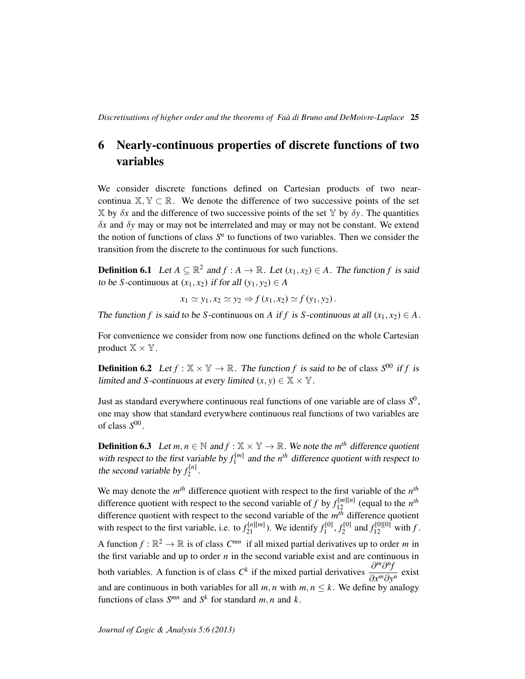### <span id="page-24-0"></span>6 Nearly-continuous properties of discrete functions of two variables

We consider discrete functions defined on Cartesian products of two nearcontinua  $\mathbb{X}, \mathbb{Y} \subset \mathbb{R}$ . We denote the difference of two successive points of the set  $\mathbb X$  by  $\delta x$  and the difference of two successive points of the set  $\mathbb Y$  by  $\delta y$ . The quantities δ*x* and δ*y* may or may not be interrelated and may or may not be constant. We extend the notion of functions of class  $S<sup>n</sup>$  to functions of two variables. Then we consider the transition from the discrete to the continuous for such functions.

**Definition 6.1** Let  $A \subseteq \mathbb{R}^2$  and  $f : A \to \mathbb{R}$ . Let  $(x_1, x_2) \in A$ . The function  $f$  is said to be *S*-continuous at  $(x_1, x_2)$  if for all  $(y_1, y_2) \in A$ 

$$
x_1 \simeq y_1, x_2 \simeq y_2 \Rightarrow f(x_1, x_2) \simeq f(y_1, y_2).
$$

The function *f* is said to be *S*-continuous on *A* if *f* is *S*-continuous at all  $(x_1, x_2) \in A$ .

For convenience we consider from now one functions defined on the whole Cartesian product  $\mathbb{X} \times \mathbb{Y}$ .

**Definition 6.2** Let  $f : \mathbb{X} \times \mathbb{Y} \to \mathbb{R}$ . The function f is said to be of class  $S^{00}$  if f is limited and *S*-continuous at every limited  $(x, y) \in \mathbb{X} \times \mathbb{Y}$ .

Just as standard everywhere continuous real functions of one variable are of class *S* 0 , one may show that standard everywhere continuous real functions of two variables are of class *S* 00 .

**Definition 6.3** Let  $m, n \in \mathbb{N}$  and  $f : \mathbb{X} \times \mathbb{Y} \to \mathbb{R}$ . We note the  $m^{th}$  difference quotient with respect to the first variable by  $f_1^{[m]}$  $n_1^{\text{[m]}}$  and the *n*<sup>th</sup> difference quotient with respect to the second variable by  $f_2^{[n]}$  $\frac{1}{2}$ <sup>n</sup>

We may denote the  $m<sup>th</sup>$  difference quotient with respect to the first variable of the  $n<sup>th</sup>$ difference quotient with respect to the second variable of *f* by  $f_{12}^{[m][n]}$  (equal to the  $n^{th}$ difference quotient with respect to the second variable of the *m th* difference quotient with respect to the first variable, i.e. to  $f_{21}^{[n][m]}$ ). We identify  $f_1^{[0]}$  $f_1^{[0]}, f_2^{[0]}$  $f_2^{\text{[0]}}$  and  $f_{12}^{\text{[0][0]}}$  with f. A function  $f : \mathbb{R}^2 \to \mathbb{R}$  is of class  $C^{mn}$  if all mixed partial derivatives up to order *m* in the first variable and up to order  $n$  in the second variable exist and are continuous in both variables. A function is of class  $C^k$  if the mixed partial derivatives  $\frac{\partial^m \partial^n f}{\partial x^n \partial x^n}$ ∂*x <sup>m</sup>*∂*y n* exist and are continuous in both variables for all  $m, n$  with  $m, n \leq k$ . We define by analogy functions of class  $S^{mn}$  and  $S^k$  for standard  $m, n$  and  $k$ .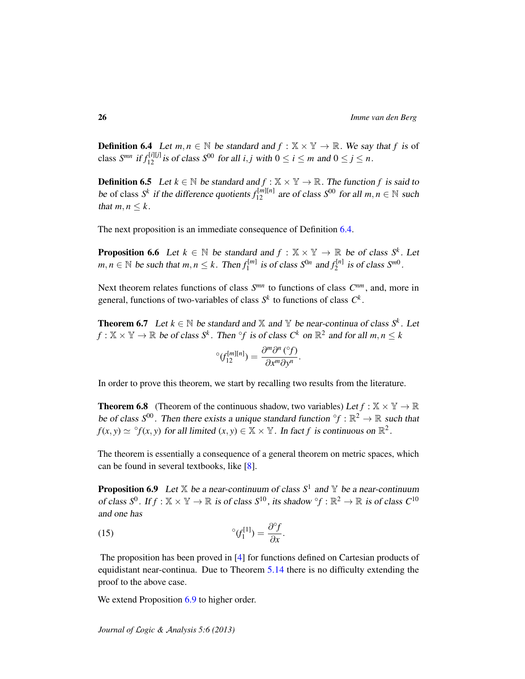<span id="page-25-0"></span>**Definition 6.4** Let  $m, n \in \mathbb{N}$  be standard and  $f : \mathbb{X} \times \mathbb{Y} \to \mathbb{R}$ . We say that f is of class  $S^{mn}$  if  $f_{12}^{[i][j]}$  is of class  $S^{00}$  for all *i*, *j* with  $0 \le i \le m$  and  $0 \le j \le n$ .

**Definition 6.5** Let  $k \in \mathbb{N}$  be standard and  $f : \mathbb{X} \times \mathbb{Y} \to \mathbb{R}$ . The function f is said to be of class  $S^k$  if the difference quotients  $f_{12}^{[m][n]}$  are of class  $S^{00}$  for all  $m, n \in \mathbb{N}$  such that  $m, n \leq k$ .

The next proposition is an immediate consequence of Definition [6.4.](#page-25-0)

<span id="page-25-4"></span>**Proposition 6.6** Let  $k \in \mathbb{N}$  be standard and  $f : \mathbb{X} \times \mathbb{Y} \to \mathbb{R}$  be of class  $S^k$ . Let  $m, n \in \mathbb{N}$  be such that  $m, n \leq k$ . Then  $f_1^{[m]}$  $\int_1^{\lfloor m \rfloor}$  is of class  $S^{0n}$  and  $f_2^{\lfloor n \rfloor}$  $S^{[n]}$  is of class  $S^{m0}$ .

Next theorem relates functions of class  $S^{mn}$  to functions of class  $C^{nm}$ , and, more in general, functions of two-variables of class  $S^k$  to functions of class  $C^k$ .

<span id="page-25-3"></span>**Theorem 6.7** Let  $k \in \mathbb{N}$  be standard and  $\mathbb{X}$  and  $\mathbb{Y}$  be near-continua of class  $S^k$ . Let  $f: \mathbb{X} \times \mathbb{Y} \to \mathbb{R}$  be of class  $S^k$ . Then  $\hat{f}$  is of class  $C^k$  on  $\mathbb{R}^2$  and for all  $m, n \leq k$ 

$$
{}^{\circ} \left( f_{12}^{[m][n]} \right) = \frac{\partial^m \partial^n \left( {}^{\circ}f \right)}{\partial x^m \partial y^n}.
$$

In order to prove this theorem, we start by recalling two results from the literature.

**Theorem 6.8** (Theorem of the continuous shadow, two variables) Let  $f : \mathbb{X} \times \mathbb{Y} \to \mathbb{R}$ be of class  $S^{00}$ . Then there exists a unique standard function  $\partial f : \mathbb{R}^2 \to \mathbb{R}$  such that  $f(x, y) \simeq {}^{\circ}f(x, y)$  for all limited  $(x, y) \in \mathbb{X} \times \mathbb{Y}$ . In fact *f* is continuous on  $\mathbb{R}^2$ .

The theorem is essentially a consequence of a general theorem on metric spaces, which can be found in several textbooks, like [\[8\]](#page-34-7).

<span id="page-25-1"></span>**Proposition 6.9** Let  $X$  be a near-continuum of class  $S^1$  and  $Y$  be a near-continuum of class  $S^0$ . If  $f : \mathbb{X} \times \mathbb{Y} \to \mathbb{R}$  is of class  $S^{10}$ , its shadow  $^\circ f : \mathbb{R}^2 \to \mathbb{R}$  is of class  $C^{10}$ and one has

<span id="page-25-2"></span>(15) 
$$
{}^{\circ} \mathcal{G}_1^{[1]} = \frac{\partial {}^{\circ} \mathcal{f}}{\partial x}.
$$

The proposition has been proved in [\[4\]](#page-34-0) for functions defined on Cartesian products of equidistant near-continua. Due to Theorem [5.14](#page-21-3) there is no difficulty extending the proof to the above case.

We extend Proposition [6.9](#page-25-1) to higher order.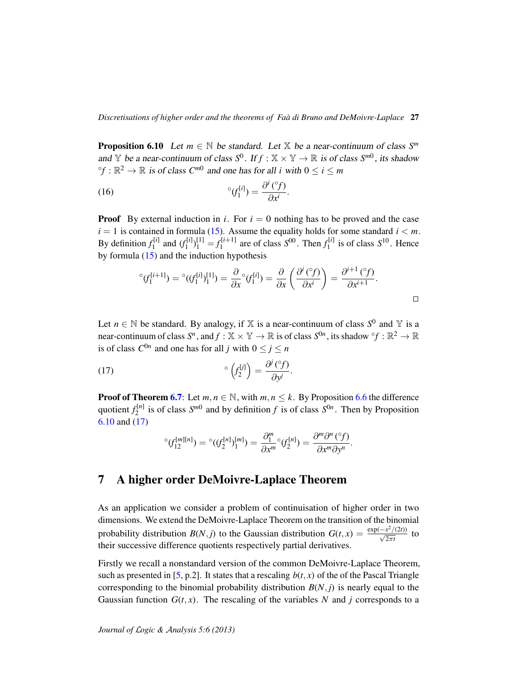*Discretisations of higher order and the theorems of Faa di Bruno and DeMoivre-Laplace `* 27

<span id="page-26-1"></span>**Proposition 6.10** Let  $m \in \mathbb{N}$  be standard. Let  $\mathbb{X}$  be a near-continuum of class  $S^m$ and Y be a near-continuum of class  $S^0$ . If  $f : \mathbb{X} \times \mathbb{Y} \to \mathbb{R}$  is of class  $S^{m0}$ , its shadow  ${}^{\circ}f : \mathbb{R}^2 \to \mathbb{R}$  *is of class C<sup>m0</sup>* and one has for all *i* with  $0 \le i \le m$ 

(16) 
$$
{}^{\circ} (f_1^{[i]}) = \frac{\partial^i ({}^{\circ} f)}{\partial x^i}
$$

**Proof** By external induction in *i*. For  $i = 0$  nothing has to be proved and the case  $i = 1$  is contained in formula [\(15\)](#page-25-2). Assume the equality holds for some standard  $i < m$ . By definition  $f_1^{[i]}$  $f_1^{[i]}$  and  $(f_1^{[i]}$  $f_1^{[i]}\bigg\}^{[1]}_1 = f_1^{[i+1]}$  $S_1^{[i+1]}$  are of class  $S^{00}$ . Then  $f_1^{[i]}$  $S_1^{[i]}$  is of class  $S^{10}$ . Hence by formula  $(15)$  and the induction hypothesis

$$
^{\circ}(f_1^{[i+1]}) = ^{\circ}((f_1^{[i]})_1^{[1]}) = \frac{\partial}{\partial x}^{\circ}(f_1^{[i]}) = \frac{\partial}{\partial x} \left(\frac{\partial^i(^{\circ}f)}{\partial x^i}\right) = \frac{\partial^{i+1}(^{\circ}f)}{\partial x^{i+1}}.
$$

.

Let  $n \in \mathbb{N}$  be standard. By analogy, if X is a near-continuum of class  $S^0$  and Y is a near-continuum of class  $S^n$ , and  $f: \mathbb{X} \times \mathbb{Y} \to \mathbb{R}$  is of class  $S^{0n}$ , its shadow  $\hat{f}: \mathbb{R}^2 \to \mathbb{R}$ is of class  $C^{0n}$  and one has for all *j* with  $0 \le j \le n$ 

(17) 
$$
{}^{\circ}\left(f_2^{[j]}\right) = \frac{\partial^j\left({}^{\circ}f\right)}{\partial y^j}.
$$

**Proof of Theorem [6.7](#page-25-3):** Let  $m, n \in \mathbb{N}$ , with  $m, n \leq k$ . By Proposition [6.6](#page-25-4) the difference quotient  $f_2^{[n]}$  $S^{[n]}$  is of class  $S^{m0}$  and by definition *f* is of class  $S^{0n}$ . Then by Proposition [6.10](#page-26-1) and [\(17\)](#page-26-2)

<span id="page-26-2"></span>
$$
{}^{\circ}(\mathit{f}_{12}^{[m][n]}) = {}^{\circ}((\mathit{f}_{2}^{[n]})_{1}^{[m]}) = \frac{\partial_{1}^{m}}{\partial x^{m}} {}^{\circ}(\mathit{f}_{2}^{[n]}) = \frac{\partial^{m}\partial^{n}({}^{\circ}\mathit{f})}{\partial x^{m}\partial y^{n}}.
$$

### <span id="page-26-0"></span>7 A higher order DeMoivre-Laplace Theorem

As an application we consider a problem of continuisation of higher order in two dimensions. We extend the DeMoivre-Laplace Theorem on the transition of the binomial probability distribution *B*(*N*, *j*) to the Gaussian distribution  $G(t, x) = \frac{\exp(-x^2/(2t))}{\sqrt{2\pi t}}$  to their successive difference quotients respectively partial derivatives.

Firstly we recall a nonstandard version of the common DeMoivre-Laplace Theorem, such as presented in [\[5,](#page-34-11) p.2]. It states that a rescaling  $b(t, x)$  of the of the Pascal Triangle corresponding to the binomial probability distribution  $B(N, j)$  is nearly equal to the Gaussian function  $G(t, x)$ . The rescaling of the variables N and *j* corresponds to a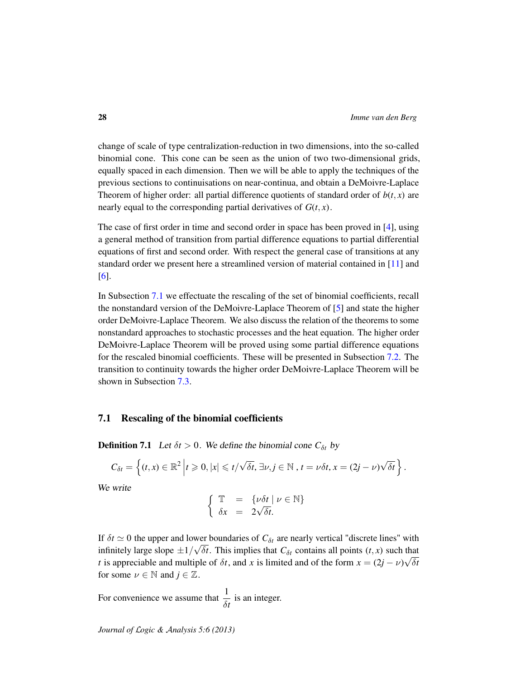change of scale of type centralization-reduction in two dimensions, into the so-called binomial cone. This cone can be seen as the union of two two-dimensional grids, equally spaced in each dimension. Then we will be able to apply the techniques of the previous sections to continuisations on near-continua, and obtain a DeMoivre-Laplace Theorem of higher order: all partial difference quotients of standard order of  $b(t, x)$  are nearly equal to the corresponding partial derivatives of  $G(t, x)$ .

The case of first order in time and second order in space has been proved in [\[4\]](#page-34-0), using a general method of transition from partial difference equations to partial differential equations of first and second order. With respect the general case of transitions at any standard order we present here a streamlined version of material contained in [\[11\]](#page-34-1) and [\[6\]](#page-34-2).

In Subsection [7.1](#page-27-0) we effectuate the rescaling of the set of binomial coefficients, recall the nonstandard version of the DeMoivre-Laplace Theorem of [\[5\]](#page-34-11) and state the higher order DeMoivre-Laplace Theorem. We also discuss the relation of the theorems to some nonstandard approaches to stochastic processes and the heat equation. The higher order DeMoivre-Laplace Theorem will be proved using some partial difference equations for the rescaled binomial coefficients. These will be presented in Subsection [7.2.](#page-30-0) The transition to continuity towards the higher order DeMoivre-Laplace Theorem will be shown in Subsection [7.3.](#page-31-0)

#### <span id="page-27-0"></span>7.1 Rescaling of the binomial coefficients

**Definition 7.1** Let  $\delta t > 0$ . We define the binomial cone  $C_{\delta t}$  by

$$
C_{\delta t} = \left\{ (t, x) \in \mathbb{R}^2 \middle| t \geq 0, |x| \leq t/\sqrt{\delta t}, \exists \nu, j \in \mathbb{N}, t = \nu \delta t, x = (2j - \nu)\sqrt{\delta t} \right\}.
$$

We write

$$
\begin{cases} \mathbb{T} = \{v \delta t \mid v \in \mathbb{N} \} \\ \delta x = 2\sqrt{\delta t}. \end{cases}
$$

If  $\delta t \simeq 0$  the upper and lower boundaries of  $C_{\delta t}$  are nearly vertical "discrete lines" with infinitely large slope  $\pm 1/\sqrt{\delta t}$ . This implies that  $C_{\delta t}$  contains all points  $(t, x)$  such that *t* is appreciable and multiple of  $\delta t$ , and *x* is limited and of the form  $x = (2j - \nu)\sqrt{\delta t}$ for some  $\nu \in \mathbb{N}$  and  $j \in \mathbb{Z}$ .

For convenience we assume that  $\frac{1}{\delta t}$  is an integer.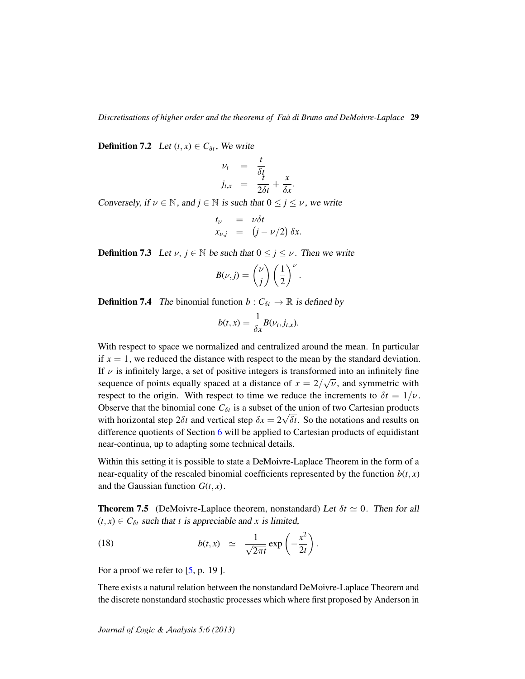<span id="page-28-1"></span>**Definition 7.2** Let  $(t, x) \in C_{\delta t}$ , We write

$$
\nu_t = \frac{t}{\delta t} \nj_{t,x} = \frac{t}{2\delta t} + \frac{x}{\delta x}.
$$

Conversely, if  $\nu \in \mathbb{N}$ , and  $j \in \mathbb{N}$  is such that  $0 \le j \le \nu$ , we write

$$
t_{\nu} = \nu \delta t
$$
  

$$
x_{\nu,j} = (j - \nu/2) \delta x.
$$

**Definition 7.3** Let  $\nu$ ,  $j \in \mathbb{N}$  be such that  $0 \le j \le \nu$ . Then we write

$$
B(\nu,j) = \binom{\nu}{j} \left(\frac{1}{2}\right)^{\nu}.
$$

**Definition 7.4** The binomial function  $b : C_{\delta t} \to \mathbb{R}$  is defined by

$$
b(t,x) = \frac{1}{\delta x} B(\nu_t, j_{t,x}).
$$

With respect to space we normalized and centralized around the mean. In particular if  $x = 1$ , we reduced the distance with respect to the mean by the standard deviation. If  $\nu$  is infinitely large, a set of positive integers is transformed into an infinitely fine sequence of points equally spaced at a distance of  $x = 2/\sqrt{\nu}$ , and symmetric with respect to the origin. With respect to time we reduce the increments to  $\delta t = 1/\nu$ . Observe that the binomial cone  $C_{\delta t}$  is a subset of the union of two Cartesian products with horizontal step  $2\delta t$  and vertical step  $\delta x = 2\sqrt{\delta t}$ . So the notations and results on difference quotients of Section [6](#page-24-0) will be applied to Cartesian products of equidistant near-continua, up to adapting some technical details.

Within this setting it is possible to state a DeMoivre-Laplace Theorem in the form of a near-equality of the rescaled binomial coefficients represented by the function  $b(t, x)$ and the Gaussian function  $G(t, x)$ .

<span id="page-28-0"></span>**Theorem 7.5** (DeMoivre-Laplace theorem, nonstandard) Let  $\delta t \simeq 0$ . Then for all  $(t, x) \in C_{\delta t}$  such that *t* is appreciable and *x* is limited,

(18) 
$$
b(t,x) \simeq \frac{1}{\sqrt{2\pi t}} \exp\left(-\frac{x^2}{2t}\right).
$$

For a proof we refer to  $[5, p. 19]$  $[5, p. 19]$ .

There exists a natural relation between the nonstandard DeMoivre-Laplace Theorem and the discrete nonstandard stochastic processes which where first proposed by Anderson in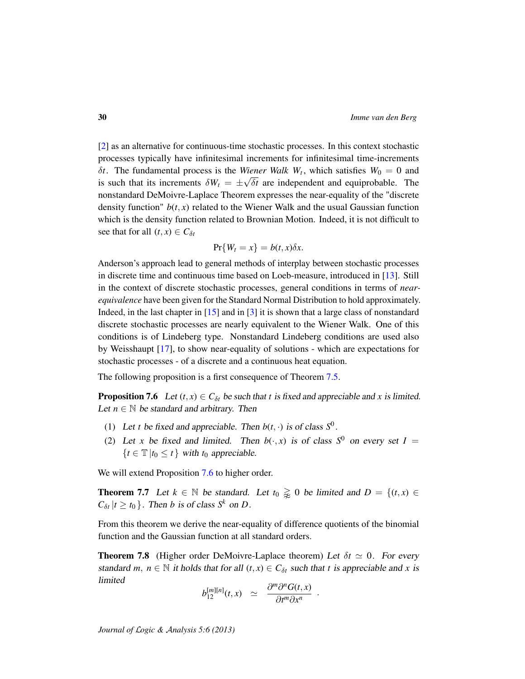[\[2\]](#page-34-12) as an alternative for continuous-time stochastic processes. In this context stochastic processes typically have infinitesimal increments for infinitesimal time-increments  $δt$ . The fundamental process is the *Wiener Walk W<sub>t</sub>*, which satisfies  $W_0 = 0$  and is such that its increments  $\delta W_t = \pm \sqrt{\delta t}$  are independent and equiprobable. The nonstandard DeMoivre-Laplace Theorem expresses the near-equality of the "discrete density function"  $b(t, x)$  related to the Wiener Walk and the usual Gaussian function which is the density function related to Brownian Motion. Indeed, it is not difficult to see that for all  $(t, x) \in C_{\delta t}$ 

$$
\Pr\{W_t = x\} = b(t, x)\delta x.
$$

Anderson's approach lead to general methods of interplay between stochastic processes in discrete time and continuous time based on Loeb-measure, introduced in [\[13\]](#page-34-13). Still in the context of discrete stochastic processes, general conditions in terms of *nearequivalence* have been given for the Standard Normal Distribution to hold approximately. Indeed, in the last chapter in [\[15\]](#page-34-8) and in [\[3\]](#page-34-14) it is shown that a large class of nonstandard discrete stochastic processes are nearly equivalent to the Wiener Walk. One of this conditions is of Lindeberg type. Nonstandard Lindeberg conditions are used also by Weisshaupt [\[17\]](#page-34-15), to show near-equality of solutions - which are expectations for stochastic processes - of a discrete and a continuous heat equation.

The following proposition is a first consequence of Theorem [7.5.](#page-28-0)

<span id="page-29-0"></span>**Proposition 7.6** Let  $(t, x) \in C_{\delta t}$  be such that *t* is fixed and appreciable and *x* is limited. Let  $n \in \mathbb{N}$  be standard and arbitrary. Then

- <span id="page-29-3"></span>(1) Let *t* be fixed and appreciable. Then  $b(t, \cdot)$  is of class  $S^0$ .
- (2) Let *x* be fixed and limited. Then  $b(\cdot, x)$  is of class  $S^0$  on every set  $I =$  ${t \in \mathbb{T} | t_0 \leq t}$  with  $t_0$  appreciable.

We will extend Proposition [7.6](#page-29-0) to higher order.

<span id="page-29-1"></span>**Theorem 7.7** Let  $k \in \mathbb{N}$  be standard. Let  $t_0 \geq 0$  be limited and  $D = \{(t, x) \in$  $C_{\delta t}$  |*t*  $\geq t_0$  }. Then *b* is of class *S*<sup>*k*</sup> on *D*.

From this theorem we derive the near-equality of difference quotients of the binomial function and the Gaussian function at all standard orders.

<span id="page-29-2"></span>**Theorem 7.8** (Higher order DeMoivre-Laplace theorem) Let  $\delta t \simeq 0$ . For every standard *m*,  $n \in \mathbb{N}$  it holds that for all  $(t, x) \in C_{\delta t}$  such that *t* is appreciable and *x* is limited

$$
b_{12}^{[m][n]}(t,x) \simeq \frac{\partial^m \partial^n G(t,x)}{\partial t^m \partial x^n}.
$$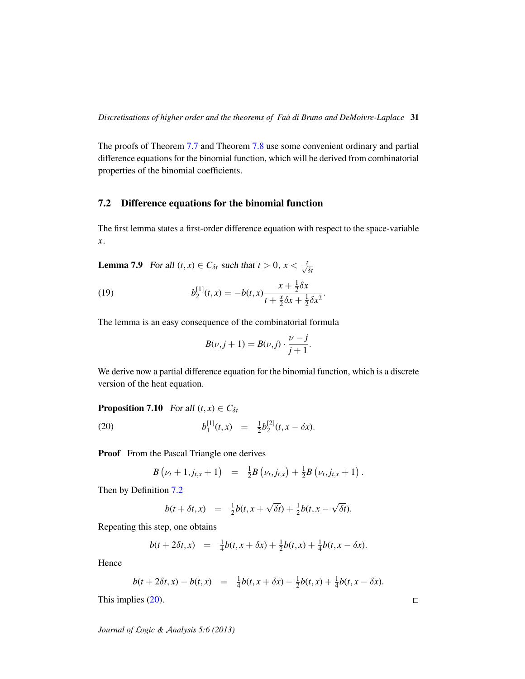The proofs of Theorem [7.7](#page-29-1) and Theorem [7.8](#page-29-2) use some convenient ordinary and partial difference equations for the binomial function, which will be derived from combinatorial properties of the binomial coefficients.

#### <span id="page-30-0"></span>7.2 Difference equations for the binomial function

The first lemma states a first-order difference equation with respect to the space-variable *x*.

**Lemma 7.9** For all  $(t, x) \in C_{\delta t}$  such that  $t > 0$ ,  $x < \frac{t}{\sqrt{\delta t}}$ 

(19) 
$$
b_2^{[1]}(t,x) = -b(t,x)\frac{x + \frac{1}{2}\delta x}{t + \frac{x}{2}\delta x + \frac{1}{2}\delta x^2}.
$$

The lemma is an easy consequence of the combinatorial formula

<span id="page-30-2"></span>
$$
B(\nu, j+1) = B(\nu, j) \cdot \frac{\nu - j}{j+1}.
$$

We derive now a partial difference equation for the binomial function, which is a discrete version of the heat equation.

**Proposition 7.10** For all  $(t, x) \in C_{\delta t}$  $(20)$ [1]  $\frac{1}{1}(t,x) = \frac{1}{2}$  $\frac{1}{2}b_2^{[2]}$  $2^{[2]}(t, x - \delta x).$ 

Proof From the Pascal Triangle one derives

<span id="page-30-1"></span>
$$
B(\nu_t + 1, j_{t,x} + 1) = \frac{1}{2}B(\nu_t, j_{t,x}) + \frac{1}{2}B(\nu_t, j_{t,x} + 1).
$$

Then by Definition [7.2](#page-28-1)

$$
b(t+\delta t,x) = \frac{1}{2}b(t,x+\sqrt{\delta t}) + \frac{1}{2}b(t,x-\sqrt{\delta t}).
$$

Repeating this step, one obtains

$$
b(t + 2\delta t, x) = \frac{1}{4}b(t, x + \delta x) + \frac{1}{2}b(t, x) + \frac{1}{4}b(t, x - \delta x).
$$

Hence

$$
b(t+2\delta t,x)-b(t,x) = \frac{1}{4}b(t,x+\delta x)-\frac{1}{2}b(t,x)+\frac{1}{4}b(t,x-\delta x).
$$

This implies [\(20\)](#page-30-1).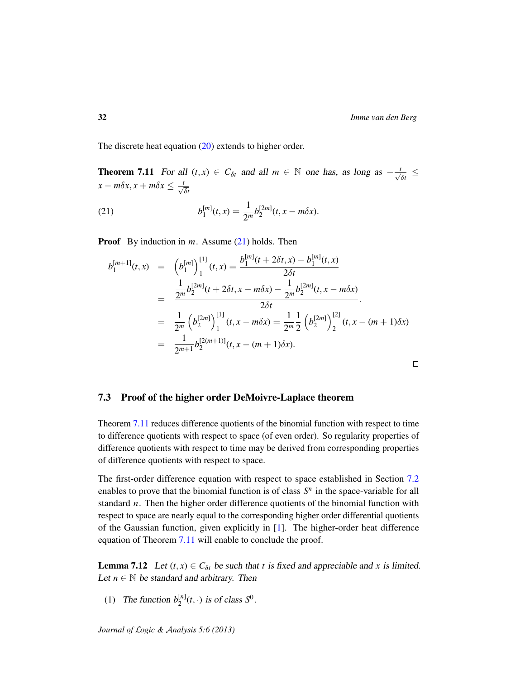The discrete heat equation [\(20\)](#page-30-1) extends to higher order.

<span id="page-31-2"></span>**Theorem 7.11** For all  $(t, x) \in C_{\delta t}$  and all  $m \in \mathbb{N}$  one has, as long as  $-\frac{t}{\sqrt{\delta t}} \leq$  $x - m\delta x, x + m\delta x \leq \frac{t}{\sqrt{\delta t}}$ 

<span id="page-31-1"></span>(21) 
$$
b_1^{[m]}(t,x) = \frac{1}{2^m} b_2^{[2m]}(t,x-m\delta x).
$$

Proof By induction in *m*. Assume [\(21\)](#page-31-1) holds. Then

$$
b_1^{[m+1]}(t,x) = (b_1^{[m]})_1^{[1]}(t,x) = \frac{b_1^{[m]}(t+2\delta t,x) - b_1^{[m]}(t,x)}{2\delta t}
$$
  
\n
$$
= \frac{\frac{1}{2^m}b_2^{[2m]}(t+2\delta t,x-m\delta x) - \frac{1}{2^m}b_2^{[2m]}(t,x-m\delta x)}{2\delta t}
$$
  
\n
$$
= \frac{1}{2^m}(b_2^{[2m]})_1^{[1]}(t,x-m\delta x) = \frac{1}{2^m}\frac{1}{2}(b_2^{[2m]})_2^{[2]}(t,x-(m+1)\delta x)
$$
  
\n
$$
= \frac{1}{2^{m+1}}b_2^{[2(m+1)]}(t,x-(m+1)\delta x).
$$

<span id="page-31-0"></span>7.3 Proof of the higher order DeMoivre-Laplace theorem

Theorem [7.11](#page-31-2) reduces difference quotients of the binomial function with respect to time to difference quotients with respect to space (of even order). So regularity properties of difference quotients with respect to time may be derived from corresponding properties of difference quotients with respect to space.

The first-order difference equation with respect to space established in Section [7.2](#page-30-0) enables to prove that the binomial function is of class  $S<sup>n</sup>$  in the space-variable for all standard *n*. Then the higher order difference quotients of the binomial function with respect to space are nearly equal to the corresponding higher order differential quotients of the Gaussian function, given explicitly in [\[1\]](#page-33-0). The higher-order heat difference equation of Theorem [7.11](#page-31-2) will enable to conclude the proof.

<span id="page-31-3"></span>**Lemma 7.12** Let  $(t, x) \in C_{\delta t}$  be such that *t* is fixed and appreciable and *x* is limited. Let  $n \in \mathbb{N}$  be standard and arbitrary. Then

(1) The function  $b_2^{[n]}$  $2^{[n]}(t,\cdot)$  is of class  $S^0$ .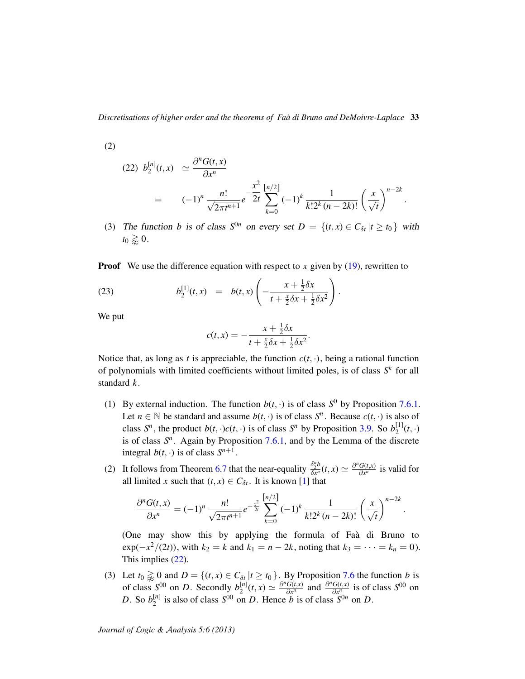*Discretisations of higher order and the theorems of Faa di Bruno and DeMoivre-Laplace `* 33

(2)

<span id="page-32-0"></span>
$$
(22) \ b_2^{[n]}(t,x) \simeq \frac{\partial^n G(t,x)}{\partial x^n}
$$
  
=  $(-1)^n \frac{n!}{\sqrt{2\pi t^{n+1}}} e^{-\frac{x^2}{2t}} \sum_{k=0}^{[n/2]} (-1)^k \frac{1}{k! 2^k (n-2k)!} \left(\frac{x}{\sqrt{t}}\right)^{n-2k}$ 

.

.

(3) The function *b* is of class  $S^{0n}$  on every set  $D = \{(t, x) \in C_{\delta t} | t \ge t_0\}$  with  $t_0 \gtrapprox 0$ .

**Proof** We use the difference equation with respect to  $x$  given by  $(19)$ , rewritten to

(23) 
$$
b_2^{[1]}(t,x) = b(t,x) \left( -\frac{x + \frac{1}{2} \delta x}{t + \frac{x}{2} \delta x + \frac{1}{2} \delta x^2} \right).
$$

We put

$$
c(t,x) = -\frac{x + \frac{1}{2}\delta x}{t + \frac{x}{2}\delta x + \frac{1}{2}\delta x^2}.
$$

Notice that, as long as *t* is appreciable, the function  $c(t, \cdot)$ , being a rational function of polynomials with limited coefficients without limited poles, is of class *S k* for all standard *k*.

- (1) By external induction. The function  $b(t, \cdot)$  is of class  $S^0$  by Proposition [7.6](#page-29-0)[.1.](#page-29-3) Let  $n \in \mathbb{N}$  be standard and assume  $b(t, \cdot)$  is of class  $S<sup>n</sup>$ . Because  $c(t, \cdot)$  is also of class  $S^n$ , the product  $b(t, \cdot)c(t, \cdot)$  is of class  $S^n$  by Proposition [3.9.](#page-8-2) So  $b_2^{[1]}$  $2^{\lfloor 1 \rfloor} (t, \cdot)$ is of class  $S<sup>n</sup>$ . Again by Proposition [7.6](#page-29-0)[.1,](#page-29-3) and by the Lemma of the discrete integral  $b(t, \cdot)$  is of class  $S^{n+1}$ .
- (2) It follows from Theorem [6.7](#page-25-3) that the near-equality  $\frac{\delta_2^n b}{\delta x^n}$  $\frac{\delta_{2}^{n}b}{\delta x^{n}}(t,x) \simeq \frac{\partial^{n}G(t,x)}{\partial x^{n}}$  $\frac{G(t,x)}{\partial x^n}$  is valid for all limited *x* such that  $(t, x) \in C_{\delta t}$ . It is known [\[1\]](#page-33-0) that

$$
\frac{\partial^n G(t,x)}{\partial x^n} = (-1)^n \frac{n!}{\sqrt{2\pi t^{n+1}}} e^{-\frac{x^2}{2t}} \sum_{k=0}^{\lfloor n/2 \rfloor} (-1)^k \frac{1}{k! 2^k (n-2k)!} \left(\frac{x}{\sqrt{t}}\right)^{n-2k}
$$

(One may show this by applying the formula of Faà di Bruno to  $exp(-x^2/(2t))$ , with  $k_2 = k$  and  $k_1 = n - 2k$ , noting that  $k_3 = ⋯ = k_n = 0$ . This implies [\(22\)](#page-32-0).

(3) Let  $t_0 \geq 0$  and  $D = \{(t, x) \in C_{\delta t} | t \geq t_0\}$ . By Proposition [7.6](#page-29-0) the function *b* is of class  $S^{00}$  on *D*. Secondly  $b_2^{[n]}$  $\frac{\partial^n G(t,x)}{\partial x^n}$  $\frac{G(t,x)}{\partial x^n}$  and  $\frac{\partial^n G(t,x)}{\partial x^n}$  $\frac{G(t,x)}{\partial x^n}$  is of class  $S^{00}$  on *D*. So  $b_2^{[n]}$  $\frac{[n]}{2}$  is also of class  $S^{00}$  on *D*. Hence *b* is of class  $S^{0n}$  on *D*.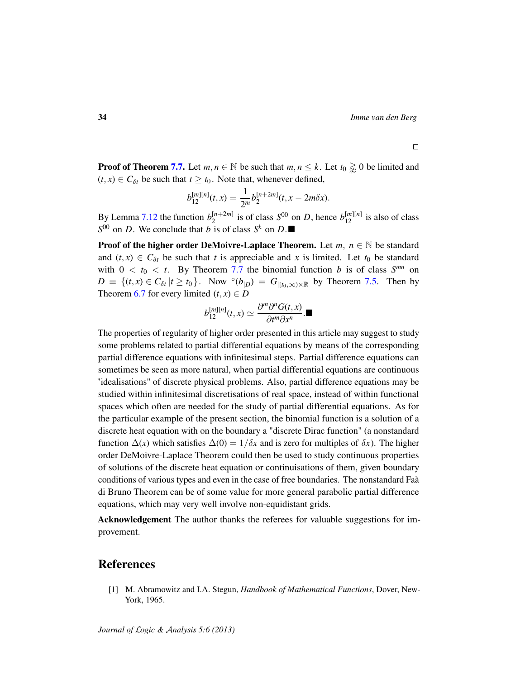$\Box$ 

**Proof of Theorem [7.7.](#page-29-1)** Let  $m, n \in \mathbb{N}$  be such that  $m, n \leq k$ . Let  $t_0 \geq 0$  be limited and  $(t, x) \in C_{\delta t}$  be such that  $t \geq t_0$ . Note that, whenever defined,

$$
b_{12}^{[m][n]}(t,x) = \frac{1}{2^m} b_2^{[n+2m]}(t,x-2m\delta x).
$$

By Lemma [7.12](#page-31-3) the function  $b_2^{[n+2m]}$  $\binom{n+2m}{2}$  is of class  $S^{00}$  on *D*, hence  $b_{12}^{[m][n]}$  is also of class  $S^{00}$  on *D*. We conclude that *b* is of class  $S^k$  on *D*.

**Proof of the higher order DeMoivre-Laplace Theorem.** Let  $m, n \in \mathbb{N}$  be standard and  $(t, x) \in C_{\delta t}$  be such that *t* is appreciable and *x* is limited. Let  $t_0$  be standard with  $0 < t_0 < t$ . By Theorem [7.7](#page-29-1) the binomial function *b* is of class  $S^{mn}$  on  $D \equiv \{(t, x) \in C_{\delta t} | t \ge t_0\}$ . Now  $\circ (b_{|D}) = G_{|[t_0,\infty) \times \mathbb{R}}$  by Theorem [7.5.](#page-28-0) Then by Theorem [6.7](#page-25-3) for every limited  $(t, x) \in D$ 

$$
b_{12}^{[m][n]}(t,x) \simeq \frac{\partial^m \partial^n G(t,x)}{\partial t^m \partial x^n}.
$$

The properties of regularity of higher order presented in this article may suggest to study some problems related to partial differential equations by means of the corresponding partial difference equations with infinitesimal steps. Partial difference equations can sometimes be seen as more natural, when partial differential equations are continuous "idealisations" of discrete physical problems. Also, partial difference equations may be studied within infinitesimal discretisations of real space, instead of within functional spaces which often are needed for the study of partial differential equations. As for the particular example of the present section, the binomial function is a solution of a discrete heat equation with on the boundary a "discrete Dirac function" (a nonstandard function  $\Delta(x)$  which satisfies  $\Delta(0) = 1/\delta x$  and is zero for multiples of  $\delta x$ ). The higher order DeMoivre-Laplace Theorem could then be used to study continuous properties of solutions of the discrete heat equation or continuisations of them, given boundary conditions of various types and even in the case of free boundaries. The nonstandard Faa` di Bruno Theorem can be of some value for more general parabolic partial difference equations, which may very well involve non-equidistant grids.

Acknowledgement The author thanks the referees for valuable suggestions for improvement.

### References

<span id="page-33-0"></span>[1] M. Abramowitz and I.A. Stegun, *Handbook of Mathematical Functions*, Dover, New-York, 1965.